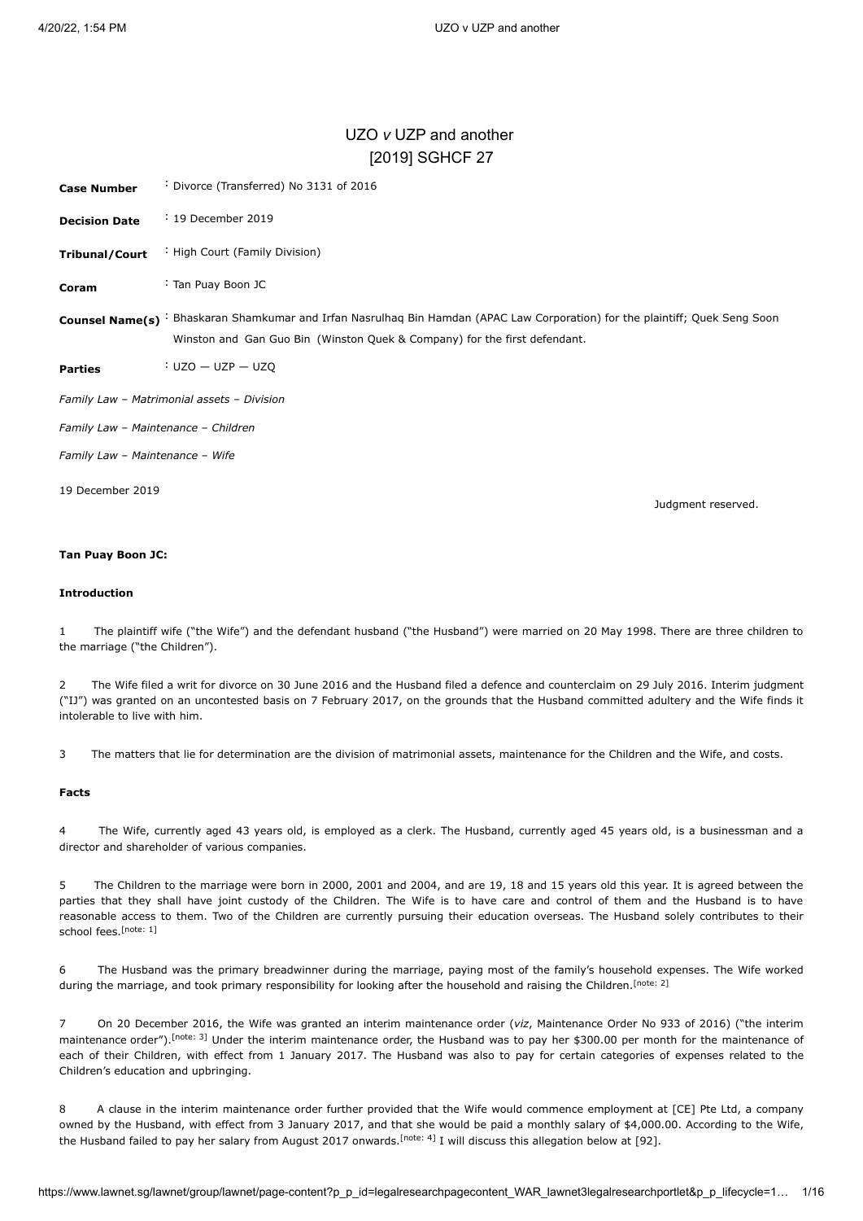# UZO *v* UZP and another [\[2019\] SGHCF 27](javascript:viewPageContent()

<span id="page-0-4"></span>

| <b>Case Number</b>                  | : Divorce (Transferred) No 3131 of 2016                                                                                                                                                  |  |  |
|-------------------------------------|------------------------------------------------------------------------------------------------------------------------------------------------------------------------------------------|--|--|
| <b>Decision Date</b>                | : 19 December 2019                                                                                                                                                                       |  |  |
| <b>Tribunal/Court</b>               | : High Court (Family Division)                                                                                                                                                           |  |  |
| Coram                               | : Tan Puay Boon JC                                                                                                                                                                       |  |  |
| <b>Counsel Name(s)</b>              | Bhaskaran Shamkumar and Irfan Nasrulhaq Bin Hamdan (APAC Law Corporation) for the plaintiff; Quek Seng Soon<br>Winston and Gan Guo Bin (Winston Quek & Company) for the first defendant. |  |  |
| <b>Parties</b>                      | $UZO - UZP - UZQ$                                                                                                                                                                        |  |  |
|                                     | Family Law - Matrimonial assets - Division                                                                                                                                               |  |  |
| Family Law - Maintenance - Children |                                                                                                                                                                                          |  |  |
| Family Law - Maintenance - Wife     |                                                                                                                                                                                          |  |  |
| 19 December 2019                    | Judgment reserved.                                                                                                                                                                       |  |  |

# **Tan Puay Boon JC:**

# **Introduction**

1 The plaintiff wife ("the Wife") and the defendant husband ("the Husband") were married on 20 May 1998. There are three children to the marriage ("the Children").

2 The Wife filed a writ for divorce on 30 June 2016 and the Husband filed a defence and counterclaim on 29 July 2016. Interim judgment ("IJ") was granted on an uncontested basis on 7 February 2017, on the grounds that the Husband committed adultery and the Wife finds it intolerable to live with him.

3 The matters that lie for determination are the division of matrimonial assets, maintenance for the Children and the Wife, and costs.

# **Facts**

4 The Wife, currently aged 43 years old, is employed as a clerk. The Husband, currently aged 45 years old, is a businessman and a director and shareholder of various companies.

5 The Children to the marriage were born in 2000, 2001 and 2004, and are 19, 18 and 15 years old this year. It is agreed between the parties that they shall have joint custody of the Children. The Wife is to have care and control of them and the Husband is to have reasonable access to them. Two of the Children are currently pursuing their education overseas. The Husband solely contributes to their school fees. [\[note: 1\]](#page-12-0)

<span id="page-0-1"></span><span id="page-0-0"></span>6 The Husband was the primary breadwinner during the marriage, paying most of the family's household expenses. The Wife worked during the marriage, and took primary responsibility for looking after the household and raising the Children.<sup>[\[note: 2\]](#page-12-1)</sup>

<span id="page-0-2"></span>7 On 20 December 2016, the Wife was granted an interim maintenance order (*viz*, Maintenance Order No 933 of 2016) ("the interim maintenance order").<sup>[\[note: 3\]](#page-12-2)</sup> Under the interim maintenance order, the Husband was to pay her \$300.00 per month for the maintenance of each of their Children, with effect from 1 January 2017. The Husband was also to pay for certain categories of expenses related to the Children's education and upbringing.

<span id="page-0-3"></span>8 A clause in the interim maintenance order further provided that the Wife would commence employment at [CE] Pte Ltd, a company owned by the Husband, with effect from 3 January 2017, and that she would be paid a monthly salary of \$4,000.00. According to the Wife, the Husband failed to pay her salary from August 2017 onwards[.](#page-12-3)<sup>[note: 4]</sup> I will discuss this allegation below at [92].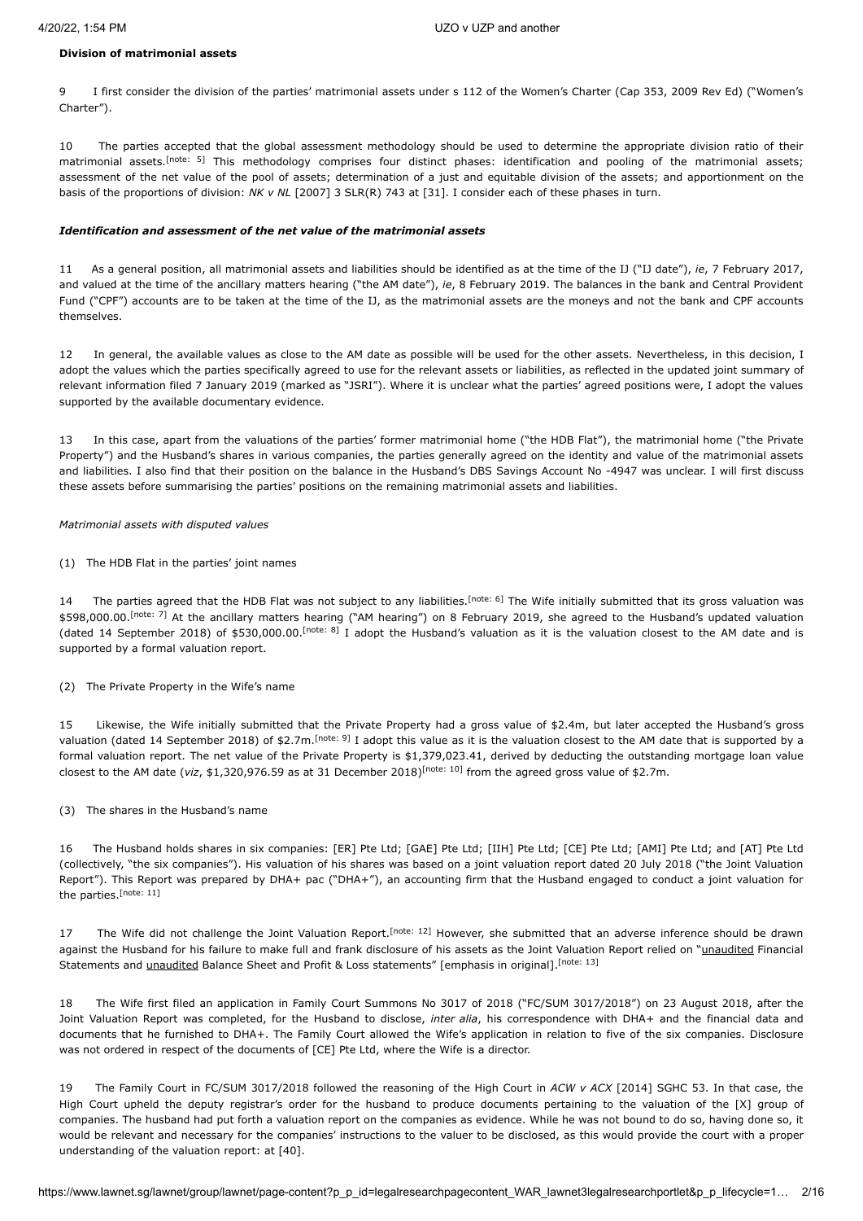### **Division of matrimonial assets**

9 I first consider the division of the parties' matrimonial assets under s 112 of the Women's Charter (Cap 353, 2009 Rev Ed) ("Women's Charter").

<span id="page-1-0"></span>10 The parties accepted that the global assessment methodology should be used to determine the appropriate division ratio of their matrimonial assets.<sup>[\[note: 5\]](#page-12-4)</sup> This methodology comprises four distinct phases: identification and pooling of the matrimonial assets; assessment of the net value of the pool of assets; determination of a just and equitable division of the assets; and apportionment on the basis of the proportions of division: *NK v NL* [\[2007\] 3 SLR\(R\) 743](javascript:viewPageContent() at [31]. I consider each of these phases in turn.

#### *Identification and assessment of the net value of the matrimonial assets*

11 As a general position, all matrimonial assets and liabilities should be identified as at the time of the IJ ("IJ date"), *ie*, 7 February 2017, and valued at the time of the ancillary matters hearing ("the AM date"), *ie*, 8 February 2019. The balances in the bank and Central Provident Fund ("CPF") accounts are to be taken at the time of the IJ, as the matrimonial assets are the moneys and not the bank and CPF accounts themselves.

12 In general, the available values as close to the AM date as possible will be used for the other assets. Nevertheless, in this decision, I adopt the values which the parties specifically agreed to use for the relevant assets or liabilities, as reflected in the updated joint summary of relevant information filed 7 January 2019 (marked as "JSRI"). Where it is unclear what the parties' agreed positions were, I adopt the values supported by the available documentary evidence.

13 In this case, apart from the valuations of the parties' former matrimonial home ("the HDB Flat"), the matrimonial home ("the Private Property") and the Husband's shares in various companies, the parties generally agreed on the identity and value of the matrimonial assets and liabilities. I also find that their position on the balance in the Husband's DBS Savings Account No -4947 was unclear. I will first discuss these assets before summarising the parties' positions on the remaining matrimonial assets and liabilities.

#### *Matrimonial assets with disputed values*

(1) The HDB Flat in the parties' joint names

<span id="page-1-3"></span><span id="page-1-2"></span><span id="page-1-1"></span>14 The parties agreed that the HDB Flat was not subject to any liabilities.<sup>[\[note: 6\]](#page-12-5)</sup> The Wife initially submitted that its gross valuation was \$598,000.00.<sup>[\[note: 7\]](#page-12-6)</sup> At the ancillary matters hearing ("AM hearing") on 8 February 2019, she agreed to the Husband's updated valuation (dated 14 September 2018) of \$530,000.00.<sup>[\[note: 8\]](#page-12-7)</sup> I adopt the Husband's valuation as it is the valuation closest to the AM date and is supported by a formal valuation report.

# (2) The Private Property in the Wife's name

<span id="page-1-4"></span>15 Likewise, the Wife initially submitted that the Private Property had a gross value of \$2.4m, but later accepted the Husband's gross valuation (dated 14 September 2018) of \$2.7m.<sup>[\[note: 9\]](#page-12-8)</sup> I adopt this value as it is the valuation closest to the AM date that is supported by a formal valuation report. The net value of the Private Property is \$1,379,023.41, derived by deducting the outstanding mortgage loan value closestto the AM date (viz, \$1,320,976.59 as at 31 December 2018)<sup>[note: 10]</sup> from the agreed gross value of \$2.7m.

# <span id="page-1-5"></span>(3) The shares in the Husband's name

16 The Husband holds shares in six companies: [ER] Pte Ltd; [GAE] Pte Ltd; [IIH] Pte Ltd; [CE] Pte Ltd; [AMI] Pte Ltd; and [AT] Pte Ltd (collectively, "the six companies"). His valuation of his shares was based on a joint valuation report dated 20 July 2018 ("the Joint Valuation Report"). This Report was prepared by DHA+ pac ("DHA+"), an accounting firm that the Husband engaged to conduct a joint valuation for the parties.<sup>[\[note: 11\]](#page-12-10)</sup>

<span id="page-1-8"></span><span id="page-1-7"></span><span id="page-1-6"></span>17 The Wife did not challenge the Joint Valuation Report. [\[note: 12\]](#page-12-11) However, she submitted that an adverse inference should be drawn against the Husband for his failure to make full and frank disclosure of his assets as the Joint Valuation Report relied on "unaudited Financial <sup>[\[note: 13\]](#page-12-12)</sup> Statements and *unaudited* Balance Sheet and Profit & Loss statements" [emphasis in original]. <sup>[note: 13]</sup>

18 The Wife first filed an application in Family Court Summons No 3017 of 2018 ("FC/SUM 3017/2018") on 23 August 2018, after the Joint Valuation Report was completed, for the Husband to disclose, *inter alia*, his correspondence with DHA+ and the financial data and documents that he furnished to DHA+. The Family Court allowed the Wife's application in relation to five of the six companies. Disclosure was not ordered in respect of the documents of [CE] Pte Ltd, where the Wife is a director.

19 The Family Court in FC/SUM 3017/2018 followed the reasoning of the High Court in *ACW v ACX* [\[2014\] SGHC 53](javascript:viewPageContent(). In that case, the High Court upheld the deputy registrar's order for the husband to produce documents pertaining to the valuation of the [X] group of companies. The husband had put forth a valuation report on the companies as evidence. While he was not bound to do so, having done so, it would be relevant and necessary for the companies' instructions to the valuer to be disclosed, as this would provide the court with a proper understanding of the valuation report: at [40].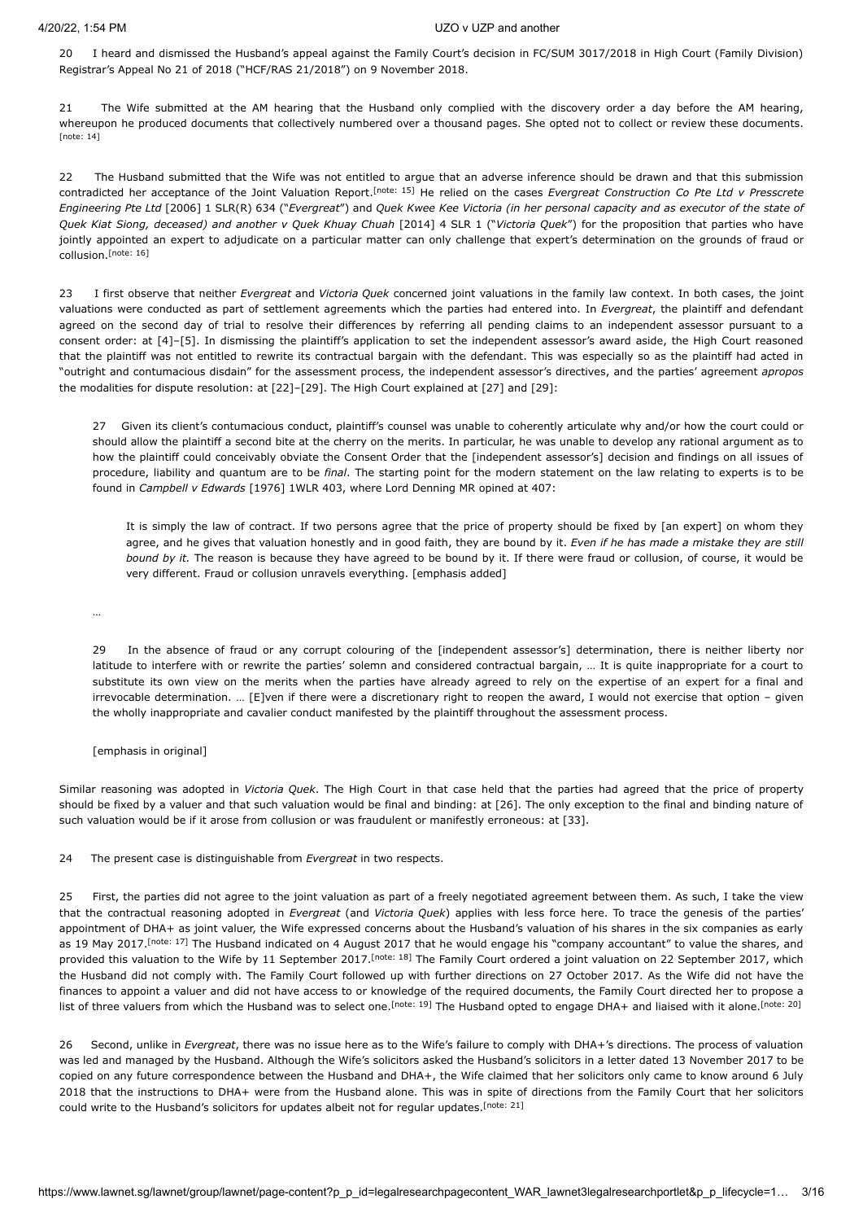20 I heard and dismissed the Husband's appeal against the Family Court's decision in FC/SUM 3017/2018 in High Court (Family Division) Registrar's Appeal No 21 of 2018 ("HCF/RAS 21/2018") on 9 November 2018.

<span id="page-2-0"></span>21 The Wife submitted at the AM hearing that the Husband only complied with the discovery order a day before the AM hearing, whereupon he produced documents that collectively numbered over a thousand pages. She opted not to collect or review these documents. [\[note: 14\]](#page-12-13)

<span id="page-2-1"></span>22 The Husband submitted that the Wife was not entitled to argue that an adverse inference should be drawn and that this submission contradicted her acceptance of the Joint Valuation Report.<sup>[\[note: 15\]](#page-12-14)</sup> He relied on the cases *Evergreat Construction Co Pte Ltd v Presscrete Engineering Pte Ltd* [\[2006\] 1 SLR\(R\) 634](javascript:viewPageContent() ("*Evergreat*") and *Quek Kwee Kee Victoria (in her personal capacity and as executor of the state of Quek Kiat Siong, deceased) and another v Quek Khuay Chuah* [\[2014\] 4 SLR 1](javascript:viewPageContent() ("*Victoria Quek*") for the proposition that parties who have jointly appointed an expert to adjudicate on a particular matter can only challenge that expert's determination on the grounds of fraud or collusion. [\[note: 16\]](#page-13-0)

<span id="page-2-2"></span>23 I first observe that neither *Evergreat* and *Victoria Quek* concerned joint valuations in the family law context. In both cases, the joint valuations were conducted as part of settlement agreements which the parties had entered into. In *Evergreat*, the plaintiff and defendant agreed on the second day of trial to resolve their differences by referring all pending claims to an independent assessor pursuant to a consent order: at [4]–[5]. In dismissing the plaintiff's application to set the independent assessor's award aside, the High Court reasoned that the plaintiff was not entitled to rewrite its contractual bargain with the defendant. This was especially so as the plaintiff had acted in "outright and contumacious disdain" for the assessment process, the independent assessor's directives, and the parties' agreement *apropos* the modalities for dispute resolution: at [22]–[29]. The High Court explained at [27] and [29]:

27 Given its client's contumacious conduct, plaintiff's counsel was unable to coherently articulate why and/or how the court could or should allow the plaintiff a second bite at the cherry on the merits. In particular, he was unable to develop any rational argument as to how the plaintiff could conceivably obviate the Consent Order that the [independent assessor's] decision and findings on all issues of procedure, liability and quantum are to be *final*. The starting point for the modern statement on the law relating to experts is to be found in *Campbell v Edwards* [1976] 1WLR 403, where Lord Denning MR opined at 407:

It is simply the law of contract. If two persons agree that the price of property should be fixed by [an expert] on whom they agree, and he gives that valuation honestly and in good faith, they are bound by it. *Even if he has made a mistake they are still bound by it.* The reason is because they have agreed to be bound by it. If there were fraud or collusion, of course, it would be very different. Fraud or collusion unravels everything. [emphasis added]

…

29 In the absence of fraud or any corrupt colouring of the [independent assessor's] determination, there is neither liberty nor latitude to interfere with or rewrite the parties' solemn and considered contractual bargain, … It is quite inappropriate for a court to substitute its own view on the merits when the parties have already agreed to rely on the expertise of an expert for a final and irrevocable determination. … [E]ven if there were a discretionary right to reopen the award, I would not exercise that option – given the wholly inappropriate and cavalier conduct manifested by the plaintiff throughout the assessment process.

[emphasis in original]

Similar reasoning was adopted in *Victoria Quek*. The High Court in that case held that the parties had agreed that the price of property should be fixed by a valuer and that such valuation would be final and binding: at [26]. The only exception to the final and binding nature of such valuation would be if it arose from collusion or was fraudulent or manifestly erroneous: at [33].

24 The present case is distinguishable from *Evergreat* in two respects.

<span id="page-2-4"></span><span id="page-2-3"></span>25 First, the parties did not agree to the joint valuation as part of a freely negotiated agreement between them. As such, I take the view that the contractual reasoning adopted in *Evergreat* (and *Victoria Quek*) applies with less force here. To trace the genesis of the parties' appointment of DHA+ as joint valuer, the Wife expressed concerns about the Husband's valuation of his shares in the six companies as early as 19 May 2017.<sup>[\[note: 17\]](#page-13-1)</sup> The Husband indicated on 4 August 2017 that he would engage his "company accountant" to value the shares, and provided this valuation to the Wife by 11 September 2017.<sup>[\[note: 18\]](#page-13-2)</sup> The Family Court ordered a joint valuation on 22 September 2017, which the Husband did not comply with. The Family Court followed up with further directions on 27 October 2017. As the Wife did not have the finances to appoint a valuer and did not have access to or knowledge of the required documents, the Family Court directed her to propose a list of three valuers from which the Husband was to select one.<sup>[note: 19]</sup> The Husband opted to engage DHA+ and liaised with it alone.<sup>[\[note: 20\]](#page-13-4)</sup>

<span id="page-2-7"></span><span id="page-2-6"></span><span id="page-2-5"></span>26 Second, unlike in *Evergreat*, there was no issue here as to the Wife's failure to comply with DHA+'s directions. The process of valuation was led and managed by the Husband. Although the Wife's solicitors asked the Husband's solicitors in a letter dated 13 November 2017 to be copied on any future correspondence between the Husband and DHA+, the Wife claimed that her solicitors only came to know around 6 July 2018 that the instructions to DHA+ were from the Husband alone. This was in spite of directions from the Family Court that her solicitors could write to the Husband's solicitors for updates albeit not for regular updates.<sup>[\[note: 21\]](#page-13-5)</sup>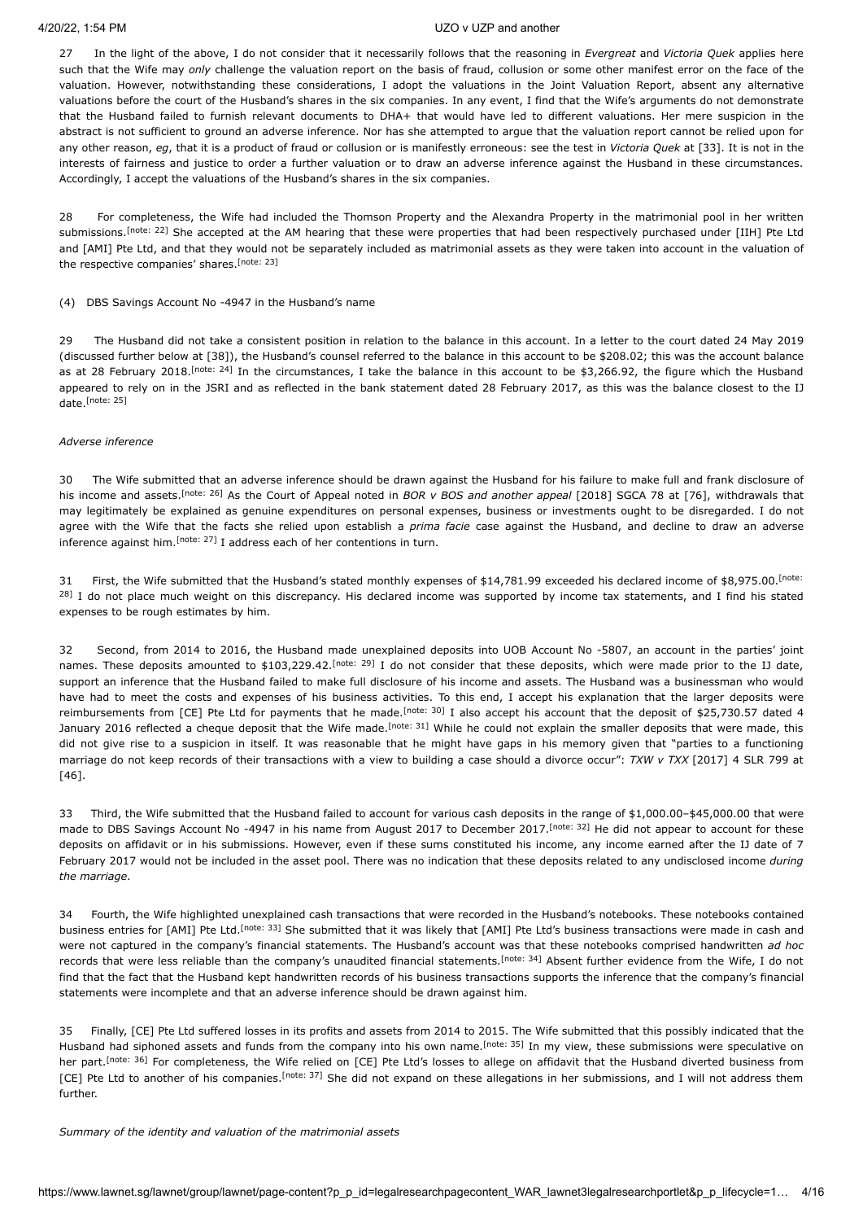27 In the light of the above, I do not consider that it necessarily follows that the reasoning in *Evergreat* and *Victoria Quek* applies here such that the Wife may *only* challenge the valuation report on the basis of fraud, collusion or some other manifest error on the face of the valuation. However, notwithstanding these considerations, I adopt the valuations in the Joint Valuation Report, absent any alternative valuations before the court of the Husband's shares in the six companies. In any event, I find that the Wife's arguments do not demonstrate that the Husband failed to furnish relevant documents to DHA+ that would have led to different valuations. Her mere suspicion in the abstract is not sufficient to ground an adverse inference. Nor has she attempted to argue that the valuation report cannot be relied upon for any other reason, *eg*, that it is a product of fraud or collusion or is manifestly erroneous: see the test in *Victoria Quek* at [33]. It is not in the interests of fairness and justice to order a further valuation or to draw an adverse inference against the Husband in these circumstances. Accordingly, I accept the valuations of the Husband's shares in the six companies.

<span id="page-3-0"></span>28 For completeness, the Wife had included the Thomson Property and the Alexandra Property in the matrimonial pool in her written submissions.<sup>[\[note: 22\]](#page-13-6)</sup> She accepted at the AM hearing that these were properties that had been respectively purchased under [IIH] Pte Ltd and [AMI] Pte Ltd, and that they would not be separately included as matrimonial assets as they were taken into account in the valuation of the respective companies' shares. [\[note: 23\]](#page-13-7)

#### <span id="page-3-1"></span>(4) DBS Savings Account No -4947 in the Husband's name

<span id="page-3-2"></span>29 The Husband did not take a consistent position in relation to the balance in this account. In a letter to the court dated 24 May 2019 (discussed further below at [38]), the Husband's counsel referred to the balance in this account to be \$208.02; this was the account balance as at 28 February 2018. <sup>Inote: 24</sup>] In the circumstances, I take the balance in this account to be \$3,266.92, the figure which the Husband appeared to rely on in the JSRI and as reflected in the bank statement dated 28 February 2017, as this was the balance closest to the IJ date. [\[note: 25\]](#page-13-9)

#### <span id="page-3-3"></span>*Adverse inference*

<span id="page-3-4"></span>30 The Wife submitted that an adverse inference should be drawn against the Husband for his failure to make full and frank disclosure of his income and assets.<sup>[\[note: 26\]](#page-13-10)</sup> As the Court of Appeal noted in *BOR v BOS and another appeal* [\[2018\] SGCA 78](javascript:viewPageContent() at [76], withdrawals that may legitimately be explained as genuine expenditures on personal expenses, business or investments ought to be disregarded. I do not agree with the Wife that the facts she relied upon establish a *prima facie* case against the Husband, and decline to draw an adverse inferenceagainst him.  $[$ <sup>note: 27]</sup> I address each of her contentions in turn.

<span id="page-3-6"></span><span id="page-3-5"></span>31 First, the Wife submitted that the Husband's stated monthly expenses of \$14,781.99 exceeded his declared income of \$8,975.00. [note: <sup>28]</sup> [I do not place much weight on this discrepancy. His declared income was supported by income tax statements, and I find his stated](#page-13-12) expenses to be rough estimates by him.

<span id="page-3-9"></span><span id="page-3-8"></span><span id="page-3-7"></span>32 Second, from 2014 to 2016, the Husband made unexplained deposits into UOB Account No -5807, an account in the parties' joint names. These deposits amounted to \$103,229.42.<sup>[\[note: 29\]](#page-13-13)</sup> I do not consider that these deposits, which were made prior to the IJ date, support an inference that the Husband failed to make full disclosure of his income and assets. The Husband was a businessman who would have had to meet the costs and expenses of his business activities. To this end, I accept his explanation that the larger deposits were reimbursements from [CE] Pte Ltd for payments that he made.<sup>[\[note: 30\]](#page-13-14)</sup> I also accept his account that the deposit of \$25,730.57 dated 4 January 2016 reflected a cheque deposit that the Wife made.<sup>[\[note: 31\]](#page-13-15)</sup> While he could not explain the smaller deposits that were made, this did not give rise to a suspicion in itself. It was reasonable that he might have gaps in his memory given that "parties to a functioning marriage do not keep records of their transactions with a view to building a case should a divorce occur": *TXW v TXX* [\[2017\] 4 SLR 799](javascript:viewPageContent() at [46].

<span id="page-3-10"></span>33 Third, the Wife submitted that the Husband failed to account for various cash deposits in the range of \$1,000.00–\$45,000.00 that were made to DBS Savings Account No -4947 in his name from August 2017 to December 2017.<sup>[\[note: 32\]](#page-13-16)</sup> He did not appear to account for these deposits on affidavit or in his submissions. However, even if these sums constituted his income, any income earned after the IJ date of 7 February 2017 would not be included in the asset pool. There was no indication that these deposits related to any undisclosed income *during the marriage*.

<span id="page-3-12"></span><span id="page-3-11"></span>34 Fourth, the Wife highlighted unexplained cash transactions that were recorded in the Husband's notebooks. These notebooks contained business entries for [AMI] Pte Ltd.<sup>[\[note: 33\]](#page-13-17)</sup> She submitted that it was likely that [AMI] Pte Ltd's business transactions were made in cash and were not captured in the company's financial statements. The Husband's account was that these notebooks comprised handwritten *ad hoc* records that were less reliable than the company's unaudited financial statements.<sup>[\[note: 34\]](#page-13-18)</sup> Absent further evidence from the Wife, I do not find that the fact that the Husband kept handwritten records of his business transactions supports the inference that the company's financial statements were incomplete and that an adverse inference should be drawn against him.

<span id="page-3-15"></span><span id="page-3-14"></span><span id="page-3-13"></span>35 Finally, [CE] Pte Ltd suffered losses in its profits and assets from 2014 to 2015. The Wife submitted that this possibly indicated that the Husband had siphoned assets and funds from the company into his own name.<sup>[\[note: 35\]](#page-13-19)</sup> In my view, these submissions were speculative on her part.<sup>[\[note: 36\]](#page-13-20)</sup> For completeness, the Wife relied on [CE] Pte Ltd's losses to allege on affidavit that the Husband diverted business from [CE] Pte Ltd to another of his companies.<sup>[\[note: 37\]](#page-13-21)</sup> She did not expand on these allegations in her submissions, and I will not address them further.

#### *Summary of the identity and valuation of the matrimonial assets*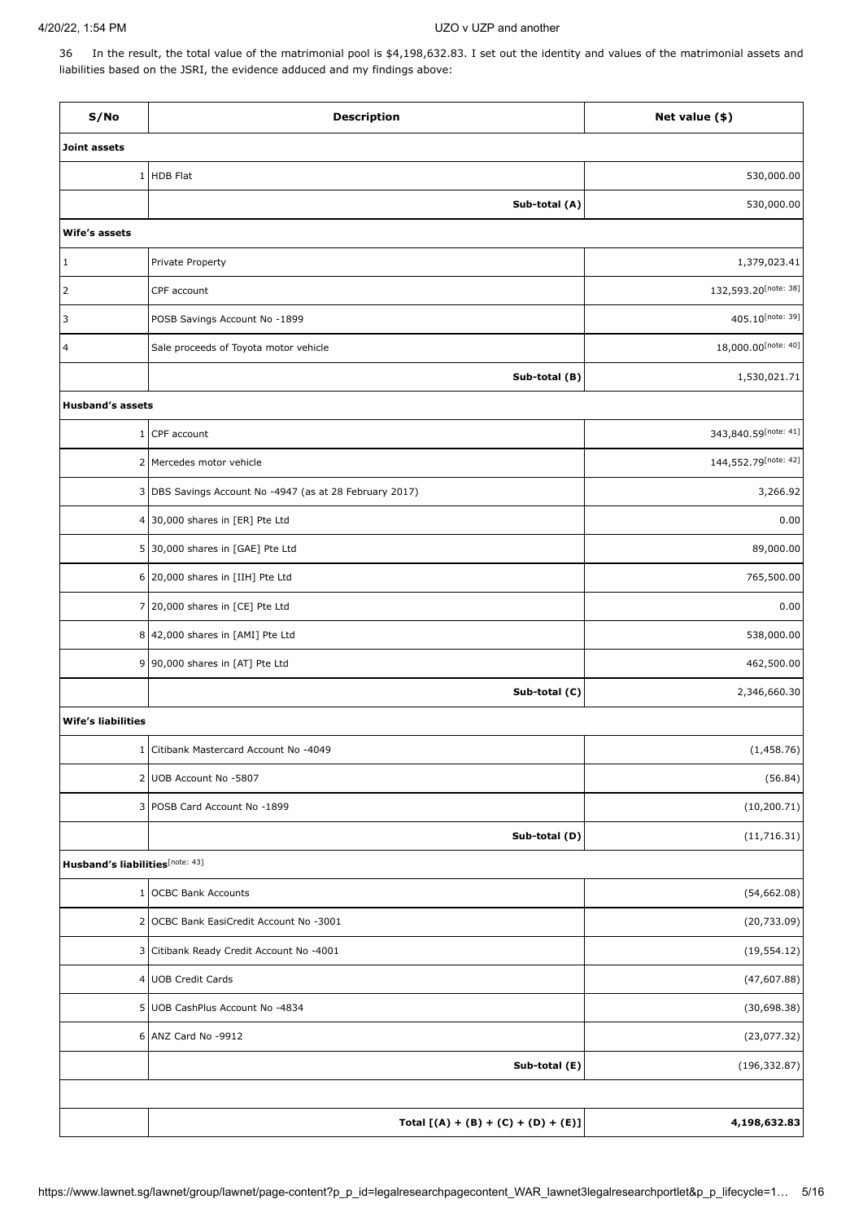36 In the result, the total value of the matrimonial pool is \$4,198,632.83. I set out the identity and values of the matrimonial assets and liabilities based on the JSRI, the evidence adduced and my findings above:

<span id="page-4-5"></span><span id="page-4-4"></span><span id="page-4-3"></span><span id="page-4-2"></span><span id="page-4-1"></span><span id="page-4-0"></span>

| S/No                            | <b>Description</b>                                      | Net value (\$)       |  |
|---------------------------------|---------------------------------------------------------|----------------------|--|
| <b>Joint assets</b>             |                                                         |                      |  |
|                                 | 1 HDB Flat                                              | 530,000.00           |  |
|                                 | Sub-total (A)                                           | 530,000.00           |  |
| Wife's assets                   |                                                         |                      |  |
| $\vert$ 1                       | Private Property                                        | 1,379,023.41         |  |
| $\overline{2}$                  | CPF account                                             | 132,593.20[note: 38] |  |
| 3                               | POSB Savings Account No -1899                           | 405.10[note: 39]     |  |
| 4                               | Sale proceeds of Toyota motor vehicle                   | 18,000.00[note: 40]  |  |
|                                 | Sub-total (B)                                           | 1,530,021.71         |  |
| <b>Husband's assets</b>         |                                                         |                      |  |
| $\mathbf{1}$                    | CPF account                                             | 343,840.59[note: 41] |  |
|                                 | 2 Mercedes motor vehicle                                | 144,552.79[note: 42] |  |
|                                 | 3 DBS Savings Account No -4947 (as at 28 February 2017) | 3,266.92             |  |
|                                 | 4 30,000 shares in [ER] Pte Ltd                         | 0.00                 |  |
|                                 | 5 30,000 shares in [GAE] Pte Ltd                        | 89,000.00            |  |
|                                 | 6 20,000 shares in [IIH] Pte Ltd                        | 765,500.00           |  |
|                                 | 7 20,000 shares in [CE] Pte Ltd                         | 0.00                 |  |
|                                 | 8 42,000 shares in [AMI] Pte Ltd                        | 538,000.00           |  |
|                                 | 9 90,000 shares in [AT] Pte Ltd                         | 462,500.00           |  |
|                                 | Sub-total (C)                                           | 2,346,660.30         |  |
| <b>Wife's liabilities</b>       |                                                         |                      |  |
|                                 | 1 Citibank Mastercard Account No -4049                  | (1,458.76)           |  |
|                                 | 2 UOB Account No -5807                                  | (56.84)              |  |
|                                 | 3 POSB Card Account No -1899                            | (10, 200.71)         |  |
|                                 | Sub-total (D)                                           | (11, 716.31)         |  |
| Husband's liabilities[note: 43] |                                                         |                      |  |
| 1                               | <b>OCBC Bank Accounts</b>                               | (54,662.08)          |  |
|                                 | 2 OCBC Bank EasiCredit Account No -3001                 | (20, 733.09)         |  |
|                                 | 3 Citibank Ready Credit Account No -4001                | (19, 554.12)         |  |
|                                 | 4 UOB Credit Cards                                      | (47,607.88)          |  |
|                                 | 5 UOB CashPlus Account No -4834                         | (30,698.38)          |  |
|                                 | 6 ANZ Card No -9912                                     | (23,077.32)          |  |
|                                 | Sub-total (E)                                           | (196, 332.87)        |  |
|                                 |                                                         |                      |  |
|                                 | Total $[(A) + (B) + (C) + (D) + (E)]$                   | 4,198,632.83         |  |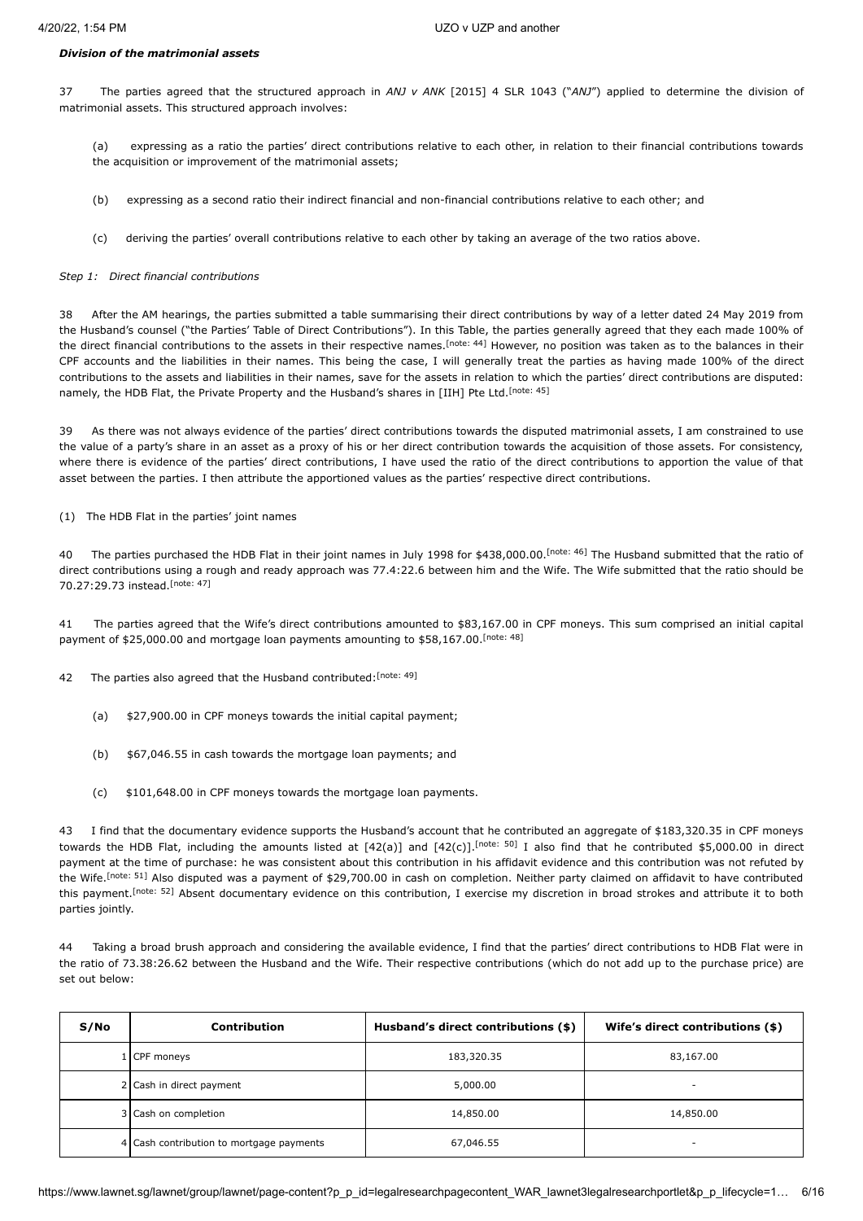### *Division of the matrimonial assets*

37 The parties agreed that the structured approach in *ANJ v ANK* [\[2015\] 4 SLR 1043](javascript:viewPageContent() ("*ANJ*") applied to determine the division of matrimonial assets. This structured approach involves:

(a) expressing as a ratio the parties' direct contributions relative to each other, in relation to their financial contributions towards the acquisition or improvement of the matrimonial assets;

- (b) expressing as a second ratio their indirect financial and non-financial contributions relative to each other; and
- <span id="page-5-1"></span><span id="page-5-0"></span>(c) deriving the parties' overall contributions relative to each other by taking an average of the two ratios above.

#### *Step 1: Direct financial contributions*

38 After the AM hearings, the parties submitted a table summarising their direct contributions by way of a letter dated 24 May 2019 from the Husband's counsel ("the Parties' Table of Direct Contributions"). In this Table, the parties generally agreed that they each made 100% of the direct financial contributions to the assets in their respective names.<sup>[\[note: 44\]](#page-13-28)</sup> However, no position was taken as to the balances in their CPF accounts and the liabilities in their names. This being the case, I will generally treat the parties as having made 100% of the direct contributions to the assets and liabilities in their names, save for the assets in relation to which the parties' direct contributions are disputed: namely, the HDB Flat, the Private Property and the Husband's shares in [IIH] Pte Ltd.<sup>[\[note: 45\]](#page-13-29)</sup>

39 As there was not always evidence of the parties' direct contributions towards the disputed matrimonial assets, I am constrained to use the value of a party's share in an asset as a proxy of his or her direct contribution towards the acquisition of those assets. For consistency, where there is evidence of the parties' direct contributions, I have used the ratio of the direct contributions to apportion the value of that asset between the parties. I then attribute the apportioned values as the parties' respective direct contributions.

#### (1) The HDB Flat in the parties' joint names

<span id="page-5-3"></span>40 The parties purchased the HDB Flat in their joint names in July 1998 for \$438,000.00.<sup>[\[note: 46\]](#page-13-30)</sup> The Husband submitted that the ratio of direct contributions using a rough and ready approach was 77.4:22.6 between him and the Wife. The Wife submitted that the ratio should be 70.27:29.73 instead. [\[note: 47\]](#page-13-31)

41 The parties agreed that the Wife's direct contributions amounted to \$83,167.00 in CPF moneys. This sum comprised an initial capital payment of \$25,000.00 and mortgage loan payments amounting to \$58,167.00. [\[note: 48\]](#page-13-32)

42 The parties also agreed that the Husband contributed: [\[note: 49\]](#page-13-33)

- <span id="page-5-5"></span><span id="page-5-4"></span><span id="page-5-2"></span>(a) \$27,900.00 in CPF moneys towards the initial capital payment;
- (b) \$67,046.55 in cash towards the mortgage loan payments; and
- <span id="page-5-6"></span>(c) \$101,648.00 in CPF moneys towards the mortgage loan payments.

<span id="page-5-7"></span>43 I find that the documentary evidence supports the Husband's account that he contributed an aggregate of \$183,320.35 in CPF moneys towards the HDB Flat, including the amounts listed at  $[42(a)]$  and  $[42(c)]$ .<sup>[\[note: 50\]](#page-13-34)</sup> I also find that he contributed \$5,000.00 in direct payment at the time of purchase: he was consistent about this contribution in his affidavit evidence and this contribution was not refuted by the Wife.<sup>[\[note: 51\]](#page-13-35)</sup> Also disputed was a payment of \$29,700.00 in cash on completion. Neither party claimed on affidavit to have contributed this payment.<sup>[\[note: 52\]](#page-13-36)</sup> Absent documentary evidence on this contribution, I exercise my discretion in broad strokes and attribute it to both parties jointly.

<span id="page-5-8"></span>44 Taking a broad brush approach and considering the available evidence, I find that the parties' direct contributions to HDB Flat were in the ratio of 73.38:26.62 between the Husband and the Wife. Their respective contributions (which do not add up to the purchase price) are set out below:

| S/No | Contribution                             | Husband's direct contributions (\$) | Wife's direct contributions (\$) |
|------|------------------------------------------|-------------------------------------|----------------------------------|
|      | 1 CPF moneys                             | 183,320.35                          | 83,167.00                        |
|      | 2 Cash in direct payment                 | 5,000.00                            | $\overline{\phantom{0}}$         |
|      | 3 Cash on completion                     | 14,850.00                           | 14,850.00                        |
|      | 4 Cash contribution to mortgage payments | 67,046.55                           | $\overline{\phantom{0}}$         |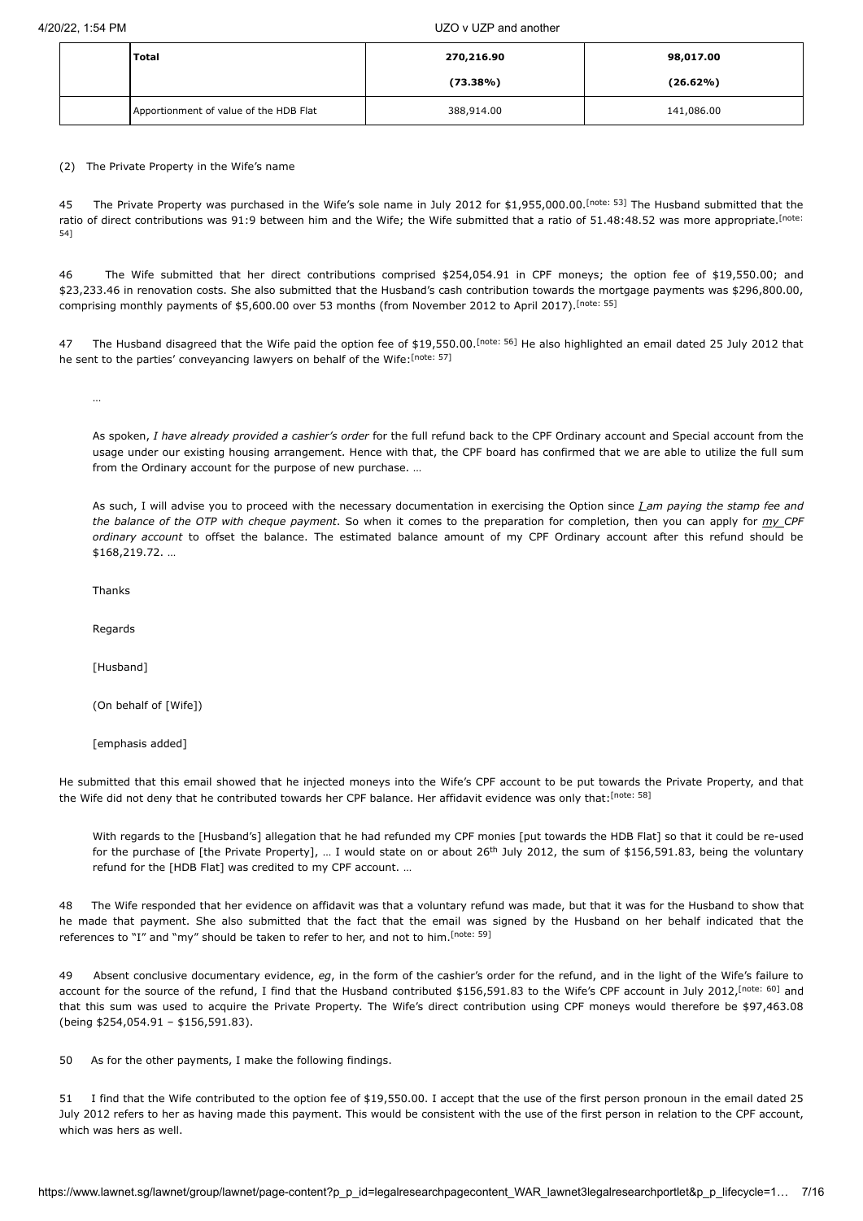| <b>Total</b>                           | 270,216.90  | 98,017.00   |
|----------------------------------------|-------------|-------------|
|                                        | $(73.38\%)$ | $(26.62\%)$ |
| Apportionment of value of the HDB Flat | 388,914.00  | 141,086.00  |

(2) The Private Property in the Wife's name

<span id="page-6-1"></span><span id="page-6-0"></span>45 The Private Property was purchased in the Wife's sole name in July 2012 for \$1,955,000.00.<sup>[\[note: 53\]](#page-13-37)</sup> The Husband submitted that the [ratio of direct contributions was 91:9 between him and the Wife; the Wife submitted](#page-13-38) that a ratio of 51.48:48.52 was more appropriate.<sup>[note:</sup> 54]

46 The Wife submitted that her direct contributions comprised \$254,054.91 in CPF moneys; the option fee of \$19,550.00; and \$23,233.46 in renovation costs. She also submitted that the Husband's cash contribution towards the mortgage payments was \$296,800.00, comprising monthly payments of \$5,600.00 over 53 months (from November 2012 to April 2017).<sup>[\[note: 55\]](#page-13-39)</sup>

47 The Husband disagreed that the Wife paid the option fee of \$19,550.00.<sup>[\[note: 56\]](#page-13-40)</sup> He also highlighted an email dated 25 July 2012 that he sent to the parties' conveyancing lawyers on behalf of the Wife: [\[note: 57\]](#page-13-41)

<span id="page-6-4"></span><span id="page-6-3"></span><span id="page-6-2"></span>…

As spoken, *I have already provided a cashier's order* for the full refund back to the CPF Ordinary account and Special account from the usage under our existing housing arrangement. Hence with that, the CPF board has confirmed that we are able to utilize the full sum from the Ordinary account for the purpose of new purchase. …

As such, I will advise you to proceed with the necessary documentation in exercising the Option since *I am paying the stamp fee and the balance of the OTP with cheque payment*. So when it comes to the preparation for completion, then you can apply for *my CPF ordinary account* to offset the balance. The estimated balance amount of my CPF Ordinary account after this refund should be \$168,219.72. …

Thanks

Regards

[Husband]

(On behalf of [Wife])

[emphasis added]

He submitted that this email showed that he injected moneys into the Wife's CPF account to be put towards the Private Property, and that the Wife did not deny that he contributed towards her CPF balance. Her affidavit evidence was only that:<sup>[\[note: 58\]](#page-13-42)</sup>

<span id="page-6-7"></span><span id="page-6-6"></span><span id="page-6-5"></span>With regards to the [Husband's] allegation that he had refunded my CPF monies [put towards the HDB Flat] so that it could be re-used for the purchase of [the Private Property], ... I would state on or about 26<sup>th</sup> July 2012, the sum of \$156,591.83, being the voluntary refund for the [HDB Flat] was credited to my CPF account. …

48 The Wife responded that her evidence on affidavit was that a voluntary refund was made, but that it was for the Husband to show that he made that payment. She also submitted that the fact that the email was signed by the Husband on her behalf indicated that the references to "I" and "my" should be taken to refer to her, and not to him.<sup>[\[note: 59\]](#page-13-43)</sup>

49 Absent conclusive documentary evidence, *eg*, in the form of the cashier's order for the refund, and in the light of the Wife's failure to account for the source of the refund, I find that the Husband contributed \$156,591.83 to the Wife's CPF account in July 2012, <sup>[\[note: 60\]](#page-13-44)</sup> and that this sum was used to acquire the Private Property. The Wife's direct contribution using CPF moneys would therefore be \$97,463.08 (being \$254,054.91 – \$156,591.83).

50 As for the other payments, I make the following findings.

51 I find that the Wife contributed to the option fee of \$19,550.00. I accept that the use of the first person pronoun in the email dated 25 July 2012 refers to her as having made this payment. This would be consistent with the use of the first person in relation to the CPF account, which was hers as well.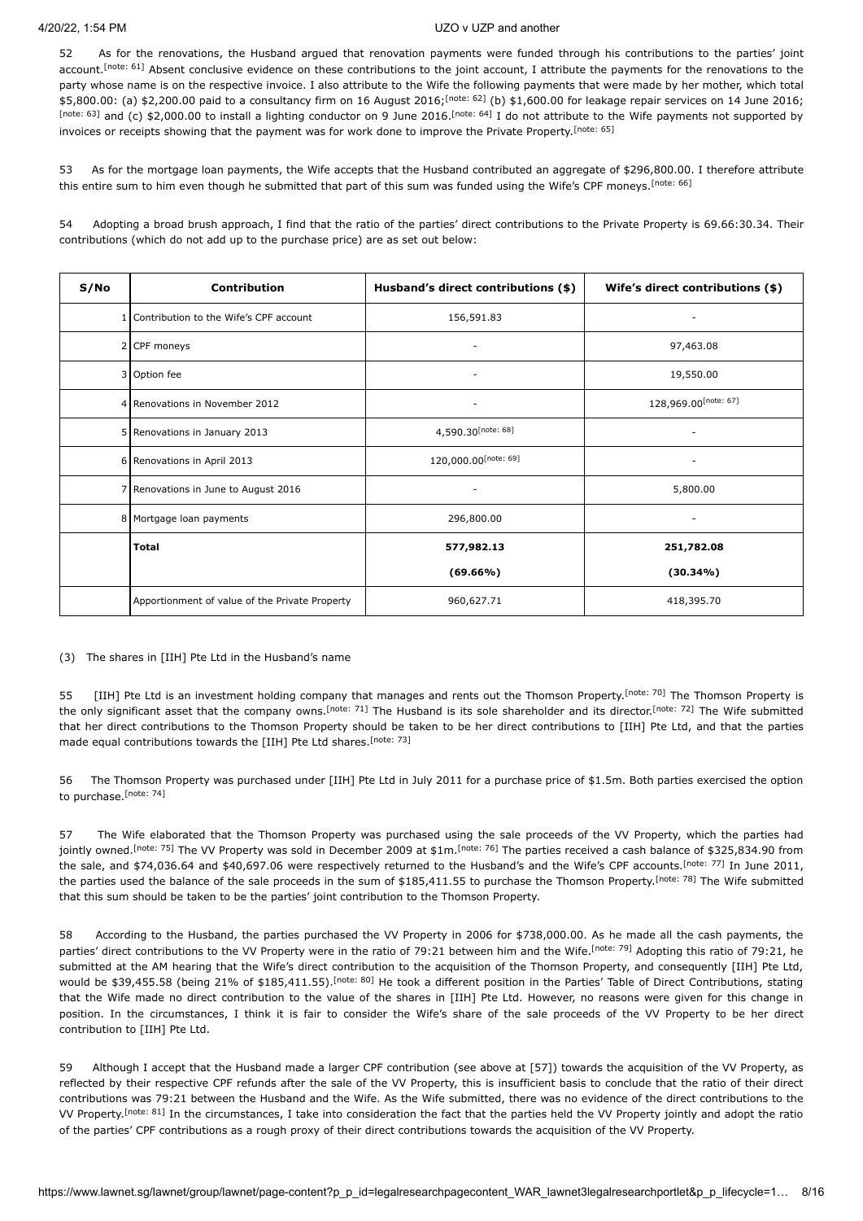<span id="page-7-1"></span><span id="page-7-0"></span>52 As for the renovations, the Husband argued that renovation payments were funded through his contributions to the parties' joint account.<sup>[\[note: 61\]](#page-14-3)</sup> Absent conclusive evidence on these contributions to the joint account, I attribute the payments for the renovations to the party whose name is on the respective invoice. I also attribute to the Wife the following payments that were made by her mother, which total  $$5,800.00:$  (a)  $$2,200.00$  paid to a consultancy firm on 16 August 2016; <sup>[\[note: 62\]](#page-14-4)</sup> (b)  $$1,600.00$  for leakage repair services on 14 June 2016; [\[note: 63\]](#page-14-5) and (c) \$2,000.00 to install a lighting conductor on 9 June 2016. [\[note: 64\]](#page-14-6) I do not attribute to the Wife payments not supported by invoices or receipts showing that the payment was for work done to improve the Private Property.<sup>[\[note: 65\]](#page-14-7)</sup>

<span id="page-7-5"></span><span id="page-7-4"></span><span id="page-7-3"></span><span id="page-7-2"></span>53 As for the mortgage loan payments, the Wife accepts that the Husband contributed an aggregate of \$296,800.00. I therefore attribute this entire sum to him even though he submitted that part of this sum was funded using the Wife's CPF moneys.<sup>[\[note: 66\]](#page-14-8)</sup>

54 Adopting a broad brush approach, I find that the ratio of the parties' direct contributions to the Private Property is 69.66:30.34. Their contributions (which do not add up to the purchase price) are as set out below:

<span id="page-7-8"></span><span id="page-7-7"></span><span id="page-7-6"></span>

| S/No | Contribution                                   | Husband's direct contributions (\$) | Wife's direct contributions (\$) |
|------|------------------------------------------------|-------------------------------------|----------------------------------|
|      | Contribution to the Wife's CPF account         | 156,591.83                          |                                  |
|      | 2 CPF moneys                                   |                                     | 97,463.08                        |
|      | 3 Option fee                                   | $\overline{\phantom{a}}$            | 19,550.00                        |
|      | 4 Renovations in November 2012                 | -                                   | 128,969.00[note: 67]             |
|      | 5 Renovations in January 2013                  | 4,590.30[note: 68]                  |                                  |
|      | 6 Renovations in April 2013                    | 120,000.00[note: 69]                |                                  |
|      | 7 Renovations in June to August 2016           |                                     | 5,800.00                         |
|      | 8 Mortgage Ioan payments                       | 296,800.00                          | ٠                                |
|      | <b>Total</b>                                   | 577,982.13                          | 251,782.08                       |
|      |                                                | $(69.66\%)$                         | $(30.34\%)$                      |
|      | Apportionment of value of the Private Property | 960,627.71                          | 418,395.70                       |

(3) The shares in [IIH] Pte Ltd in the Husband's name

<span id="page-7-11"></span><span id="page-7-10"></span><span id="page-7-9"></span>55 [IIH] Pte Ltd is an investment holding company that manages and rents out the Thomson Property.<sup>[\[note: 70\]](#page-14-9)</sup> The Thomson Property is the only significant asset that the company owns.<sup>[\[note: 71\]](#page-14-10)</sup> The Husband is its sole shareholder and its director.<sup>[\[note: 72\]](#page-14-11)</sup> The Wife submitted that her direct contributions to the Thomson Property should be taken to be her direct contributions to [IIH] Pte Ltd, and that the parties made equal contributions towards the [IIH] Pte Ltd shares. [\[note: 73\]](#page-14-12)

<span id="page-7-13"></span><span id="page-7-12"></span>56 The Thomson Property was purchased under [IIH] Pte Ltd in July 2011 for a purchase price of \$1.5m. Both parties exercised the option to purchase.<sup>[note:</sup> 74]

<span id="page-7-17"></span><span id="page-7-16"></span><span id="page-7-15"></span><span id="page-7-14"></span>57 The Wife elaborated that the Thomson Property was purchased using the sale proceeds of the VV Property, which the parties had jointly owned.<sup>[\[note: 75\]](#page-14-14)</sup> The VV Property was sold in December 2009 at \$1m.<sup>[\[note: 76\]](#page-14-15)</sup> The parties received a cash balance of \$325,834.90 from the sale, and \$74,036.64 and \$40,697.06 were respectively returned to the Husband's and the Wife's CPF accounts.<sup>[\[note: 77\]](#page-14-16)</sup> In June 2011, the parties used the balance of the sale proceeds in the sum of \$185,411.55 to purchase the Thomson Property.<sup>[\[note: 78\]](#page-14-17)</sup> The Wife submitted that this sum should be taken to be the parties' joint contribution to the Thomson Property.

<span id="page-7-19"></span><span id="page-7-18"></span>58 According to the Husband, the parties purchased the VV Property in 2006 for \$738,000.00. As he made all the cash payments, the parties' direct contributions to the VV Property were in the ratio of 79:21 between him and the Wife.<sup>[\[note: 79\]](#page-14-18)</sup> Adopting this ratio of 79:21, he submitted at the AM hearing that the Wife's direct contribution to the acquisition of the Thomson Property, and consequently [IIH] Pte Ltd, would be \$39,455.58 (being 21% of \$185,411.55).<sup>[\[note: 80\]](#page-14-19)</sup> He took a different position in the Parties' Table of Direct Contributions, stating that the Wife made no direct contribution to the value of the shares in [IIH] Pte Ltd. However, no reasons were given for this change in position. In the circumstances, I think it is fair to consider the Wife's share of the sale proceeds of the VV Property to be her direct contribution to [IIH] Pte Ltd.

<span id="page-7-20"></span>59 Although I accept that the Husband made a larger CPF contribution (see above at [57]) towards the acquisition of the VV Property, as reflected by their respective CPF refunds after the sale of the VV Property, this is insufficient basis to conclude that the ratio of their direct contributions was 79:21 between the Husband and the Wife. As the Wife submitted, there was no evidence of the direct contributions to the VV Property.<sup>[\[note: 81\]](#page-14-20)</sup> In the circumstances, I take into consideration the fact that the parties held the VV Property jointly and adopt the ratio of the parties' CPF contributions as a rough proxy of their direct contributions towards the acquisition of the VV Property.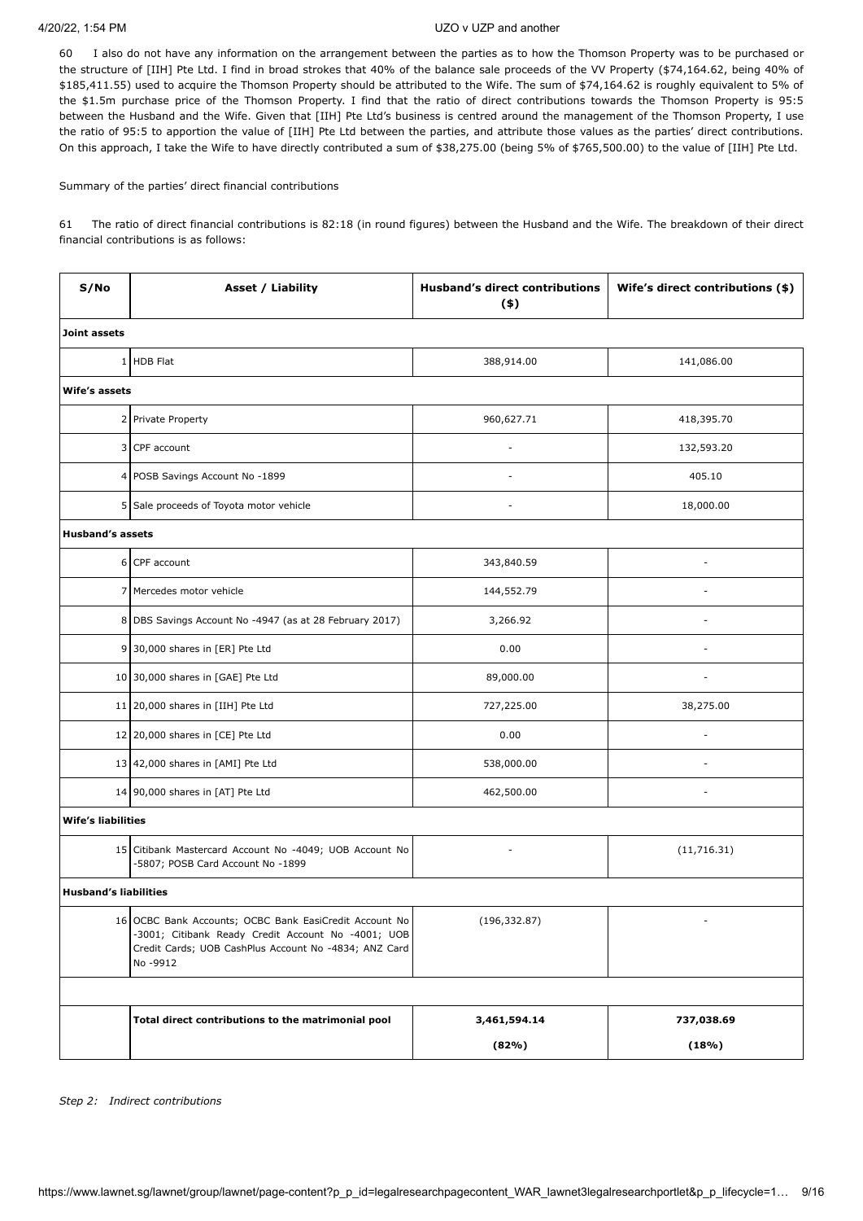60 I also do not have any information on the arrangement between the parties as to how the Thomson Property was to be purchased or the structure of [IIH] Pte Ltd. I find in broad strokes that 40% of the balance sale proceeds of the VV Property (\$74,164.62, being 40% of \$185,411.55) used to acquire the Thomson Property should be attributed to the Wife. The sum of \$74,164.62 is roughly equivalent to 5% of the \$1.5m purchase price of the Thomson Property. I find that the ratio of direct contributions towards the Thomson Property is 95:5 between the Husband and the Wife. Given that [IIH] Pte Ltd's business is centred around the management of the Thomson Property, I use the ratio of 95:5 to apportion the value of [IIH] Pte Ltd between the parties, and attribute those values as the parties' direct contributions. On this approach, I take the Wife to have directly contributed a sum of \$38,275.00 (being 5% of \$765,500.00) to the value of [IIH] Pte Ltd.

Summary of the parties' direct financial contributions

61 The ratio of direct financial contributions is 82:18 (in round figures) between the Husband and the Wife. The breakdown of their direct financial contributions is as follows:

| S/No                         | Asset / Liability                                                                                                                                                                 | <b>Husband's direct contributions</b><br>$($ \$) | Wife's direct contributions (\$) |
|------------------------------|-----------------------------------------------------------------------------------------------------------------------------------------------------------------------------------|--------------------------------------------------|----------------------------------|
| Joint assets                 |                                                                                                                                                                                   |                                                  |                                  |
|                              | 1 HDB Flat                                                                                                                                                                        | 388,914.00                                       | 141,086.00                       |
| Wife's assets                |                                                                                                                                                                                   |                                                  |                                  |
|                              | 2 Private Property                                                                                                                                                                | 960,627.71                                       | 418,395.70                       |
|                              | 3 CPF account                                                                                                                                                                     |                                                  | 132,593.20                       |
|                              | 4 POSB Savings Account No -1899                                                                                                                                                   | ÷,                                               | 405.10                           |
|                              | 5 Sale proceeds of Toyota motor vehicle                                                                                                                                           |                                                  | 18,000.00                        |
| <b>Husband's assets</b>      |                                                                                                                                                                                   |                                                  |                                  |
|                              | 6 CPF account                                                                                                                                                                     | 343,840.59                                       | $\overline{\phantom{a}}$         |
|                              | 7 Mercedes motor vehicle                                                                                                                                                          | 144,552.79                                       |                                  |
|                              | 8 DBS Savings Account No -4947 (as at 28 February 2017)                                                                                                                           | 3,266.92                                         |                                  |
|                              | 9 30,000 shares in [ER] Pte Ltd                                                                                                                                                   | 0.00                                             |                                  |
|                              | 10 30,000 shares in [GAE] Pte Ltd                                                                                                                                                 | 89,000.00                                        |                                  |
|                              | 11 20,000 shares in [IIH] Pte Ltd                                                                                                                                                 | 727,225.00                                       | 38,275.00                        |
|                              | 12 20,000 shares in [CE] Pte Ltd                                                                                                                                                  | 0.00                                             |                                  |
|                              | 13 42,000 shares in [AMI] Pte Ltd                                                                                                                                                 | 538,000.00                                       |                                  |
|                              | 14 90,000 shares in [AT] Pte Ltd                                                                                                                                                  | 462,500.00                                       |                                  |
| <b>Wife's liabilities</b>    |                                                                                                                                                                                   |                                                  |                                  |
|                              | 15 Citibank Mastercard Account No -4049; UOB Account No<br>-5807; POSB Card Account No -1899                                                                                      | $\overline{a}$                                   | (11, 716.31)                     |
| <b>Husband's liabilities</b> |                                                                                                                                                                                   |                                                  |                                  |
|                              | 16 OCBC Bank Accounts; OCBC Bank EasiCredit Account No<br>-3001; Citibank Ready Credit Account No -4001; UOB<br>Credit Cards; UOB CashPlus Account No -4834; ANZ Card<br>No -9912 | (196, 332.87)                                    | $\overline{\phantom{a}}$         |
|                              |                                                                                                                                                                                   |                                                  |                                  |
|                              | Total direct contributions to the matrimonial pool                                                                                                                                | 3,461,594.14                                     | 737,038.69                       |
|                              |                                                                                                                                                                                   | (82%)                                            | (18%)                            |

*Step 2: Indirect contributions*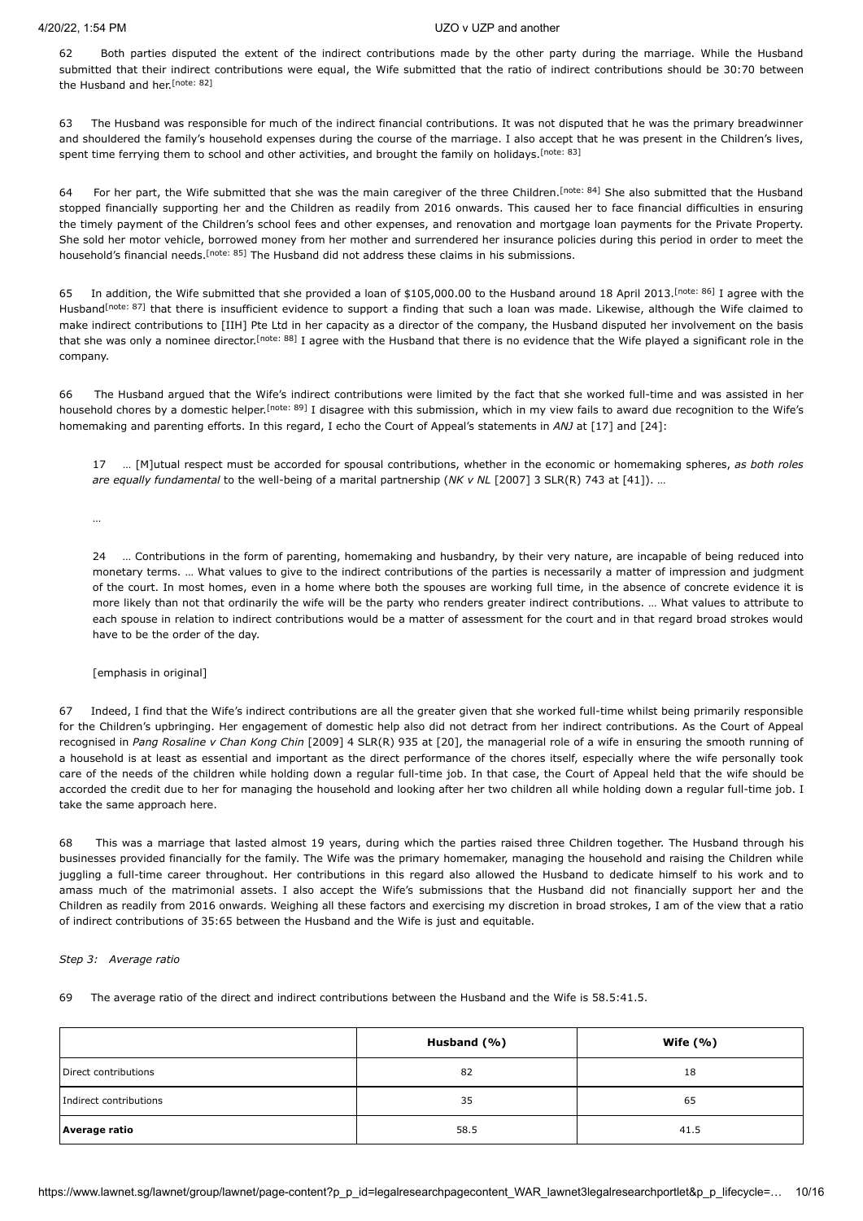<span id="page-9-0"></span>62 Both parties disputed the extent of the indirect contributions made by the other party during the marriage. While the Husband submitted that their indirect contributions were equal, the Wife submitted that the ratio of indirect contributions should be 30:70 between the Husband and her.<sup>[\[note: 82\]](#page-14-21)</sup>

<span id="page-9-1"></span>63 The Husband was responsible for much of the indirect financial contributions. It was not disputed that he was the primary breadwinner and shouldered the family's household expenses during the course of the marriage. I also accept that he was present in the Children's lives, spent time ferrying them to school and other activities, and brought the family on holidays.<sup>[\[note: 83\]](#page-14-22)</sup>

<span id="page-9-2"></span>64 For her part, the Wife submitted that she was the main caregiver of the three Children.<sup>[\[note: 84\]](#page-14-23)</sup> She also submitted that the Husband stopped financially supporting her and the Children as readily from 2016 onwards. This caused her to face financial difficulties in ensuring the timely payment of the Children's school fees and other expenses, and renovation and mortgage loan payments for the Private Property. She sold her motor vehicle, borrowed money from her mother and surrendered her insurance policies during this period in order to meet the household's financial needs.<sup>[note: 85]</sup> The Husband did not address these claims in his submissions.

<span id="page-9-6"></span><span id="page-9-5"></span><span id="page-9-3"></span>65 In addition, the Wife submitted that she provided a loan of \$105,000.00 to the Husband around 18 April 2013. [\[note: 86\]](#page-14-25) I agree with the Husband<sup>[\[note: 87\]](#page-14-26)</sup> that there is insufficient evidence to support a finding that such a loan was made. Likewise, although the Wife claimed to make indirect contributions to [IIH] Pte Ltd in her capacity as a director of the company, the Husband disputed her involvement on the basis that she was only a nominee director.<sup>[\[note: 88\]](#page-14-27)</sup> I agree with the Husband that there is no evidence that the Wife played a significant role in the company.

66 The Husband argued that the Wife's indirect contributions were limited by the fact that she worked full-time and was assisted in her household chores by a domestic helper.<sup>[\[note: 89\]](#page-14-28)</sup> I disagree with this submission, which in my view fails to award due recognition to the Wife's homemaking and parenting efforts. In this regard, I echo the Court of Appeal's statements in *ANJ* at [17] and [24]:

<span id="page-9-7"></span><span id="page-9-4"></span>17 … [M]utual respect must be accorded for spousal contributions, whether in the economic or homemaking spheres, *as both roles are equally fundamental* to the well-being of a marital partnership (*NK v NL* [\[2007\] 3 SLR\(R\) 743](javascript:viewPageContent() at [41]). …

…

24 … Contributions in the form of parenting, homemaking and husbandry, by their very nature, are incapable of being reduced into monetary terms. … What values to give to the indirect contributions of the parties is necessarily a matter of impression and judgment of the court. In most homes, even in a home where both the spouses are working full time, in the absence of concrete evidence it is more likely than not that ordinarily the wife will be the party who renders greater indirect contributions. … What values to attribute to each spouse in relation to indirect contributions would be a matter of assessment for the court and in that regard broad strokes would have to be the order of the day.

[emphasis in original]

67 Indeed, I find that the Wife's indirect contributions are all the greater given that she worked full-time whilst being primarily responsible for the Children's upbringing. Her engagement of domestic help also did not detract from her indirect contributions. As the Court of Appeal recognised in *Pang Rosaline v Chan Kong Chin* [\[2009\] 4 SLR\(R\) 935](javascript:viewPageContent() at [20], the managerial role of a wife in ensuring the smooth running of a household is at least as essential and important as the direct performance of the chores itself, especially where the wife personally took care of the needs of the children while holding down a regular full-time job. In that case, the Court of Appeal held that the wife should be accorded the credit due to her for managing the household and looking after her two children all while holding down a regular full-time job. I take the same approach here.

68 This was a marriage that lasted almost 19 years, during which the parties raised three Children together. The Husband through his businesses provided financially for the family. The Wife was the primary homemaker, managing the household and raising the Children while juggling a full-time career throughout. Her contributions in this regard also allowed the Husband to dedicate himself to his work and to amass much of the matrimonial assets. I also accept the Wife's submissions that the Husband did not financially support her and the Children as readily from 2016 onwards. Weighing all these factors and exercising my discretion in broad strokes, I am of the view that a ratio of indirect contributions of 35:65 between the Husband and the Wife is just and equitable.

# *Step 3: Average ratio*

69 The average ratio of the direct and indirect contributions between the Husband and the Wife is 58.5:41.5.

|                        | Husband (%) | Wife $(% )$ |
|------------------------|-------------|-------------|
| Direct contributions   | 82          | 18          |
| Indirect contributions | 35          | 65          |
| Average ratio          | 58.5        | 41.5        |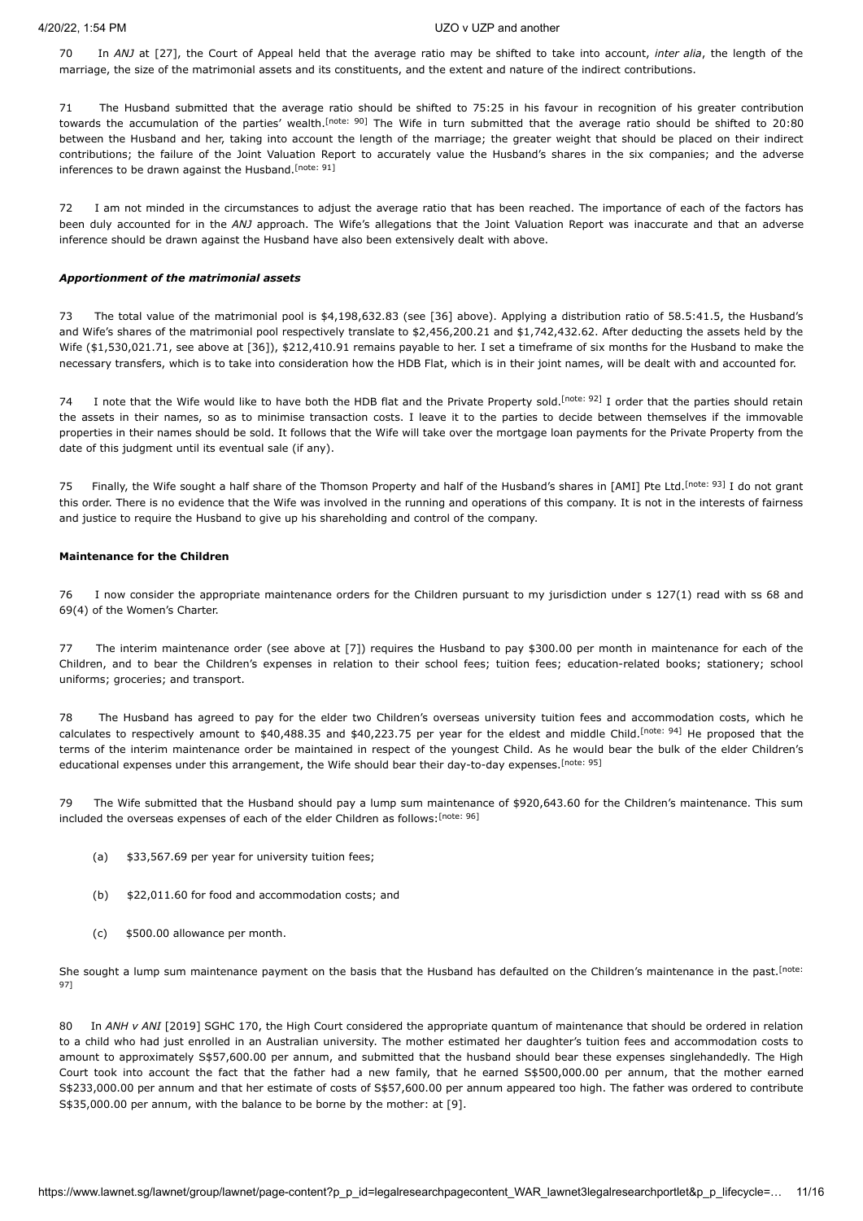70 In *ANJ* at [27], the Court of Appeal held that the average ratio may be shifted to take into account, *inter alia*, the length of the marriage, the size of the matrimonial assets and its constituents, and the extent and nature of the indirect contributions.

<span id="page-10-0"></span>71 The Husband submitted that the average ratio should be shifted to 75:25 in his favour in recognition of his greater contribution towards the accumulation of the parties' wealth.<sup>[\[note: 90\]](#page-14-29)</sup> The Wife in turn submitted that the average ratio should be shifted to 20:80 between the Husband and her, taking into account the length of the marriage; the greater weight that should be placed on their indirect contributions; the failure of the Joint Valuation Report to accurately value the Husband's shares in the six companies; and the adverse inferences to be drawn against the Husband. [\[note: 91\]](#page-14-30)

<span id="page-10-1"></span>72 I am not minded in the circumstances to adjust the average ratio that has been reached. The importance of each of the factors has been duly accounted for in the *ANJ* approach. The Wife's allegations that the Joint Valuation Report was inaccurate and that an adverse inference should be drawn against the Husband have also been extensively dealt with above.

## *Apportionment of the matrimonial assets*

73 The total value of the matrimonial pool is \$4,198,632.83 (see [36] above). Applying a distribution ratio of 58.5:41.5, the Husband's and Wife's shares of the matrimonial pool respectively translate to \$2,456,200.21 and \$1,742,432.62. After deducting the assets held by the Wife (\$1,530,021.71, see above at [36]), \$212,410.91 remains payable to her. I set a timeframe of six months for the Husband to make the necessary transfers, which is to take into consideration how the HDB Flat, which is in their joint names, will be dealt with and accounted for.

<span id="page-10-2"></span>74 I note that the Wife would like to have both the HDB flat and the Private Property sold.<sup>[\[note: 92\]](#page-14-31)</sup> I order that the parties should retain the assets in their names, so as to minimise transaction costs. I leave it to the parties to decide between themselves if the immovable properties in their names should be sold. It follows that the Wife will take over the mortgage loan payments for the Private Property from the date of this judgment until its eventual sale (if any).

<span id="page-10-3"></span>75 Finally, the Wife sought a half share of the Thomson Property and half of the Husband's shares in [AMI] Pte Ltd. [\[note: 93\]](#page-14-32) I do not grant this order. There is no evidence that the Wife was involved in the running and operations of this company. It is not in the interests of fairness and justice to require the Husband to give up his shareholding and control of the company.

#### **Maintenance for the Children**

76 I now consider the appropriate maintenance orders for the Children pursuant to my jurisdiction under s 127(1) read with ss 68 and 69(4) of the Women's Charter.

77 The interim maintenance order (see above at [7]) requires the Husband to pay \$300.00 per month in maintenance for each of the Children, and to bear the Children's expenses in relation to their school fees; tuition fees; education-related books; stationery; school uniforms; groceries; and transport.

78 The Husband has agreed to pay for the elder two Children's overseas university tuition fees and accommodation costs, which he calculates to respectively amount to \$40,488.35 and \$40,223.75 per year for the eldest and middle Child. <sup>[\[note: 94\]](#page-14-33)</sup> He proposed that the terms of the interim maintenance order be maintained in respect of the youngest Child. As he would bear the bulk of the elder Children's educational expenses under this arrangement, the Wife should bear their day-to-day expenses. [\[note: 95\]](#page-14-34)

79 The Wife submitted that the Husband should pay a lump sum maintenance of \$920,643.60 for the Children's maintenance. This sum included the overseas expenses of each of the elder Children as follows: [\[note: 96\]](#page-14-35)

- <span id="page-10-6"></span><span id="page-10-5"></span><span id="page-10-4"></span>(a) \$33,567.69 per year for university tuition fees;
- (b) \$22,011.60 for food and accommodation costs; and
- (c) \$500.00 allowance per month.

<span id="page-10-7"></span>[She sought a lump sum maintenance payment on the basis that the Husband has defaulted on the Children's maintenance in the past.](#page-14-36)<sup>[note:</sup>] 97]

80 In *ANH v ANI* [\[2019\] SGHC 170](javascript:viewPageContent(), the High Court considered the appropriate quantum of maintenance that should be ordered in relation to a child who had just enrolled in an Australian university. The mother estimated her daughter's tuition fees and accommodation costs to amount to approximately S\$57,600.00 per annum, and submitted that the husband should bear these expenses singlehandedly. The High Court took into account the fact that the father had a new family, that he earned S\$500,000.00 per annum, that the mother earned S\$233,000.00 per annum and that her estimate of costs of S\$57,600.00 per annum appeared too high. The father was ordered to contribute S\$35,000.00 per annum, with the balance to be borne by the mother: at [9].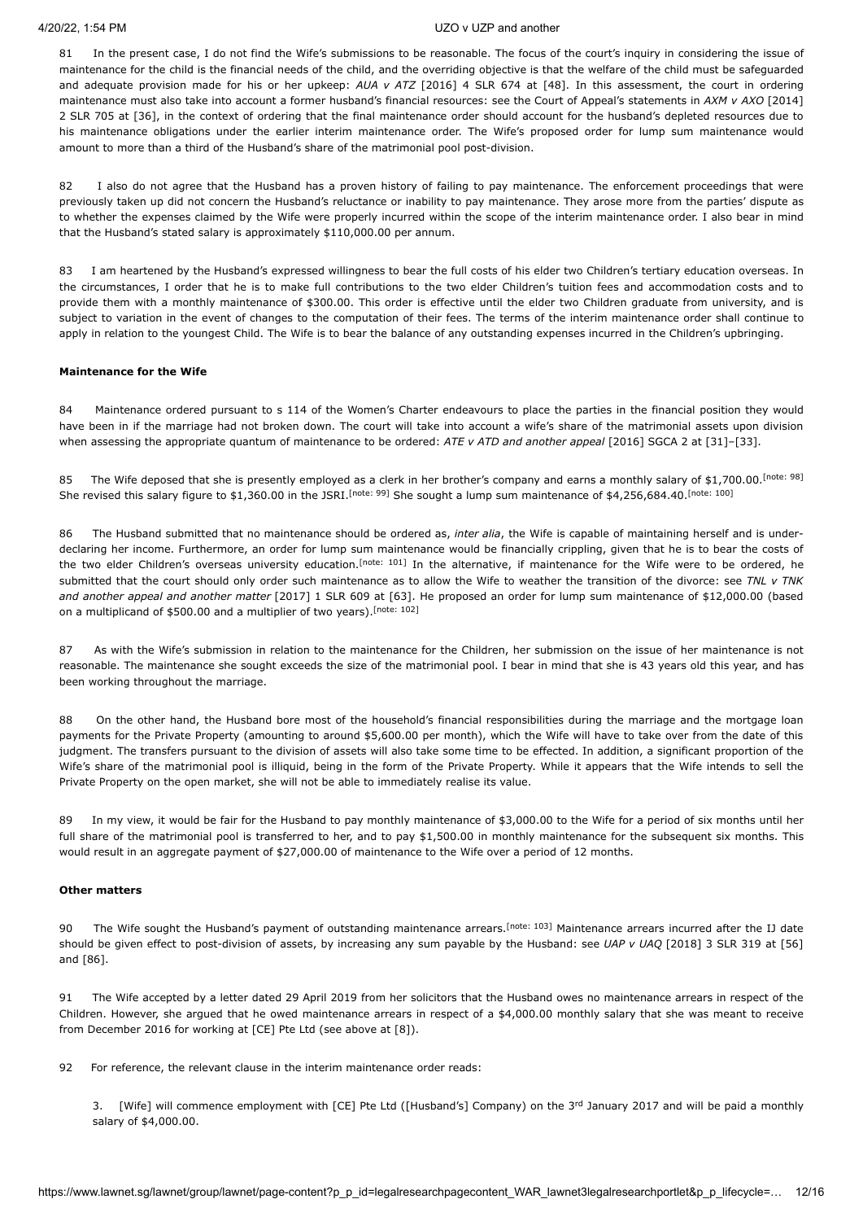81 In the present case, I do not find the Wife's submissions to be reasonable. The focus of the court's inquiry in considering the issue of maintenance for the child is the financial needs of the child, and the overriding objective is that the welfare of the child must be safeguarded and adequate provision made for his or her upkeep: AUA v ATZ [\[2016\] 4 SLR 674](javascript:viewPageContent() at [48]. In this assessment, the court in ordering maintenance must also take into account a former husband's financial resources: see the Court of Appeal's statements in *AXM v AXO* [2014] 2 SLR 705 [at \[36\], in the context of ordering that the final maintenance order should account](javascript:viewPageContent() for the husband's depleted resources due to his maintenance obligations under the earlier interim maintenance order. The Wife's proposed order for lump sum maintenance would amount to more than a third of the Husband's share of the matrimonial pool post-division.

82 I also do not agree that the Husband has a proven history of failing to pay maintenance. The enforcement proceedings that were previously taken up did not concern the Husband's reluctance or inability to pay maintenance. They arose more from the parties' dispute as to whether the expenses claimed by the Wife were properly incurred within the scope of the interim maintenance order. I also bear in mind that the Husband's stated salary is approximately \$110,000.00 per annum.

83 I am heartened by the Husband's expressed willingness to bear the full costs of his elder two Children's tertiary education overseas. In the circumstances, I order that he is to make full contributions to the two elder Children's tuition fees and accommodation costs and to provide them with a monthly maintenance of \$300.00. This order is effective until the elder two Children graduate from university, and is subject to variation in the event of changes to the computation of their fees. The terms of the interim maintenance order shall continue to apply in relation to the youngest Child. The Wife is to bear the balance of any outstanding expenses incurred in the Children's upbringing.

#### **Maintenance for the Wife**

84 Maintenance ordered pursuant to s 114 of the Women's Charter endeavours to place the parties in the financial position they would have been in if the marriage had not broken down. The court will take into account a wife's share of the matrimonial assets upon division when assessing the appropriate quantum of maintenance to be ordered: *ATE v ATD and another appeal* [\[2016\] SGCA 2](javascript:viewPageContent() at [31]–[33].

<span id="page-11-2"></span><span id="page-11-1"></span><span id="page-11-0"></span>85 The Wife deposed that she is presently employed as a clerk in her brother's company and earns a monthly salary of \$1,700.00. [\[note: 98\]](#page-14-37) She revised this salary figure to \$1,360.00 in the JSRI.<sup>[note: 99]</sup> She sought a lump sum maintenance of \$4,256,684.40.<sup>[\[note: 100\]](#page-14-39)</sup>

<span id="page-11-3"></span>86 The Husband submitted that no maintenance should be ordered as, *inter alia*, the Wife is capable of maintaining herself and is underdeclaring her income. Furthermore, an order for lump sum maintenance would be financially crippling, given that he is to bear the costs of the two elder Children's overseas university education.<sup>[\[note: 101\]](#page-14-40)</sup> In the alternative, if maintenance for the Wife were to be ordered, he submitted that the court should only order such maintenance as to allow the Wife to weather the transition of the divorce: see *TNL v TNK and another appeal and another matter* [\[2017\] 1 SLR 609](javascript:viewPageContent() at [63]. He proposed an order for lump sum maintenance of \$12,000.00 (based on a multiplicand of \$500.00 and a multiplier of two years).<sup>[\[note: 102\]](#page-14-41)</sup>

<span id="page-11-4"></span>87 As with the Wife's submission in relation to the maintenance for the Children, her submission on the issue of her maintenance is not reasonable. The maintenance she sought exceeds the size of the matrimonial pool. I bear in mind that she is 43 years old this year, and has been working throughout the marriage.

88 On the other hand, the Husband bore most of the household's financial responsibilities during the marriage and the mortgage loan payments for the Private Property (amounting to around \$5,600.00 per month), which the Wife will have to take over from the date of this judgment. The transfers pursuant to the division of assets will also take some time to be effected. In addition, a significant proportion of the Wife's share of the matrimonial pool is illiquid, being in the form of the Private Property. While it appears that the Wife intends to sell the Private Property on the open market, she will not be able to immediately realise its value.

89 In my view, it would be fair for the Husband to pay monthly maintenance of \$3,000.00 to the Wife for a period of six months until her full share of the matrimonial pool is transferred to her, and to pay \$1,500.00 in monthly maintenance for the subsequent six months. This would result in an aggregate payment of \$27,000.00 of maintenance to the Wife over a period of 12 months.

#### **Other matters**

<span id="page-11-5"></span>90 The Wife sought the Husband's payment of outstanding maintenance arrears.<sup>[\[note: 103\]](#page-14-42)</sup> Maintenance arrears incurred after the IJ date should be given effect to post-division of assets, by increasing any sum payable by the Husband: see *UAP v UAQ* [\[2018\] 3 SLR 319](javascript:viewPageContent() at [56] and [86].

91 The Wife accepted by a letter dated 29 April 2019 from her solicitors that the Husband owes no maintenance arrears in respect of the Children. However, she argued that he owed maintenance arrears in respect of a \$4,000.00 monthly salary that she was meant to receive from December 2016 for working at [CE] Pte Ltd (see above at [8]).

92 For reference, the relevant clause in the interim maintenance order reads:

3. [Wife] will commence employment with  $[CE]$  Pte Ltd ([Husband's] Company) on the  $3<sup>rd</sup>$  January 2017 and will be paid a monthly salary of \$4,000.00.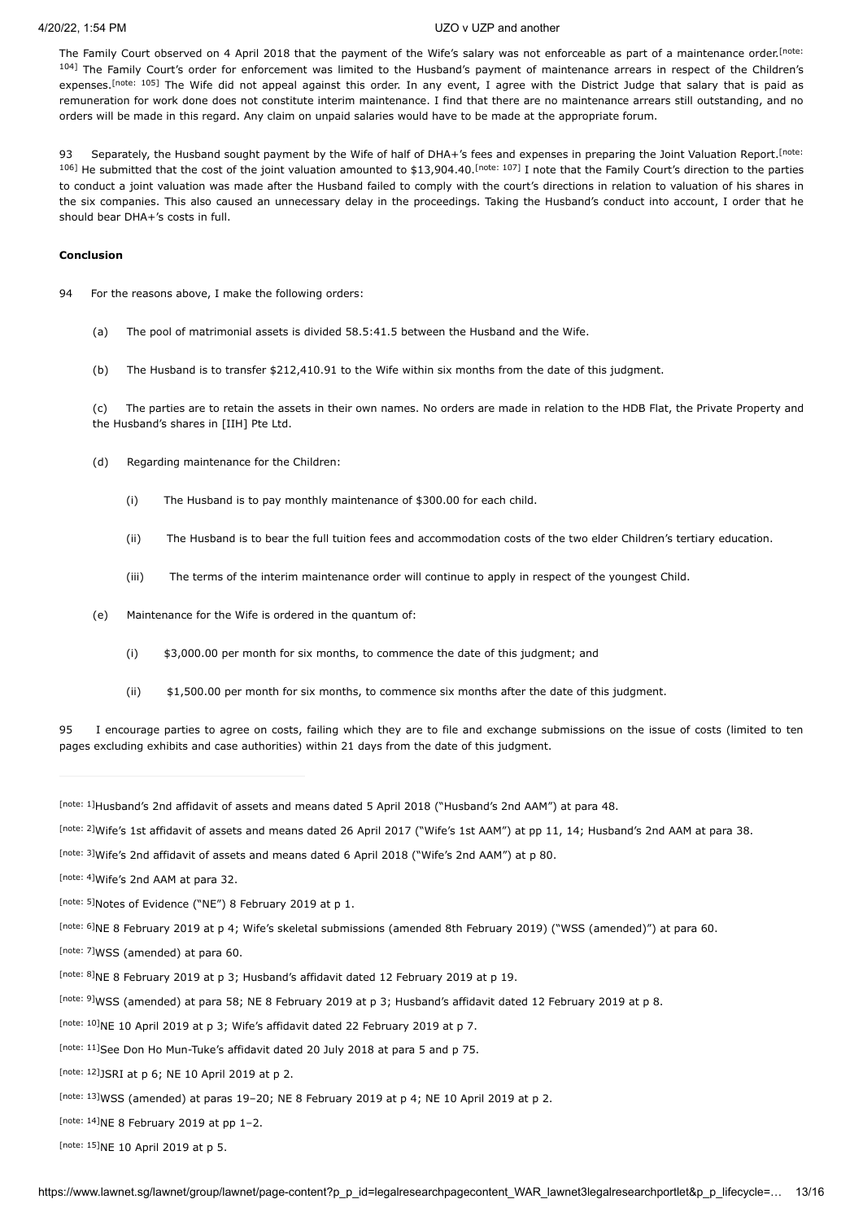<span id="page-12-16"></span><span id="page-12-15"></span>The Family Court observed on 4 April 2018 that the payment of the Wife's salary was not enforceable as part of a maintenance order.<sup>[note:</sup> 104] [The Family Court's order for enforcement was limited to the Husband's payment of maintenance arrears in respect of the Children's](#page-14-43) expenses.<sup>[\[note: 105\]](#page-14-44)</sup> The Wife did not appeal against this order. In any event, I agree with the District Judge that salary that is paid as remuneration for work done does not constitute interim maintenance. I find that there are no maintenance arrears still outstanding, and no orders will be made in this regard. Any claim on unpaid salaries would have to be made at the appropriate forum.

<span id="page-12-17"></span>93 Separately, the [Husband sought payment by the Wife of half of DHA+'s fees and expenses in preparing the Joint Valuation Report.](#page-14-45)<sup>[note:</sup> <sup>106]</sup> He submitted that the cost of the joint valuation amounted to \$13,904.40. <sup>Inote: 107]</sup> I note that the Family Court's direction to the parties to conduct a joint valuation was made after the Husband failed to comply with the court's directions in relation to valuation of his shares in the six companies. This also caused an unnecessary delay in the proceedings. Taking the Husband's conduct into account, I order that he should bear DHA+'s costs in full.

#### **Conclusion**

94 For the reasons above, I make the following orders:

<span id="page-12-18"></span>(a) The pool of matrimonial assets is divided 58.5:41.5 between the Husband and the Wife.

(b) The Husband is to transfer \$212,410.91 to the Wife within six months from the date of this judgment.

(c) The parties are to retain the assets in their own names. No orders are made in relation to the HDB Flat, the Private Property and the Husband's shares in [IIH] Pte Ltd.

- (d) Regarding maintenance for the Children:
	- (i) The Husband is to pay monthly maintenance of \$300.00 for each child.
	- (ii) The Husband is to bear the full tuition fees and accommodation costs of the two elder Children's tertiary education.
	- (iii) The terms of the interim maintenance order will continue to apply in respect of the youngest Child.
- (e) Maintenance for the Wife is ordered in the quantum of:
	- (i) \$3,000.00 per month for six months, to commence the date of this judgment; and
	- (ii) \$1,500.00 per month for six months, to commence six months after the date of this judgment.

95 I encourage parties to agree on costs, failing which they are to file and exchange submissions on the issue of costs (limited to ten pages excluding exhibits and case authorities) within 21 days from the date of this judgment.

<span id="page-12-0"></span>[\[note: 1\]](#page-0-0)Husband's 2nd affidavit of assets and means dated 5 April 2018 ("Husband's 2nd AAM") at para 48.

<span id="page-12-1"></span>[\[note: 2\]](#page-0-1)Wife's 1st affidavit of assets and means dated 26 April 2017 ("Wife's 1st AAM") at pp 11, 14; Husband's 2nd AAM at para 38.

<span id="page-12-2"></span>[\[note: 3\]](#page-0-2)Wife's 2nd affidavit of assets and means dated 6 April 2018 ("Wife's 2nd AAM") at p 80.

<span id="page-12-3"></span>[\[note: 4\]](#page-0-3) Wife's 2nd AAM at para 32.

<span id="page-12-4"></span>[\[note: 5\]](#page-1-0) Notes of Evidence ("NE") 8 February 2019 at p 1.

<span id="page-12-5"></span><sup>[\[note: 6\]](#page-1-1)</sup>NE 8 February 2019 at p 4; Wife's skeletal submissions (amended 8th February 2019) ("WSS (amended)") at para 60.

- <span id="page-12-6"></span>[\[note: 7\]](#page-1-2)WSS (amended) at para 60.
- <span id="page-12-7"></span>[\[note: 8\]](#page-1-3)NE 8 February 2019 at p 3; Husband's affidavit dated 12 February 2019 at p 19.

<span id="page-12-8"></span>[\[note: 9\]](#page-1-4)WSS (amended) at para 58; NE 8 February 2019 at p 3; Husband's affidavit dated 12 February 2019 at p 8.

<span id="page-12-9"></span>[note:  $10$ ]NE 10 April 2019 at p 3; Wife's affidavit dated 22 February 2019 at p 7.

- <span id="page-12-10"></span>[\[note: 11\]](#page-1-6) See Don Ho Mun-Tuke's affidavit dated 20 July 2018 at para 5 and p 75.
- <span id="page-12-11"></span>[\[note: 12\]](#page-1-7) JSRI at p 6; NE 10 April 2019 at p 2.

<span id="page-12-12"></span>[\[note: 13\]](#page-1-8) WSS (amended) at paras 19–20; NE 8 February 2019 at p 4; NE 10 April 2019 at p 2.

<span id="page-12-13"></span>[note:  $14$ ]NE 8 February 2019 at pp 1-2.

<span id="page-12-14"></span>[\[note: 15\]](#page-2-1)NE 10 April 2019 at p 5.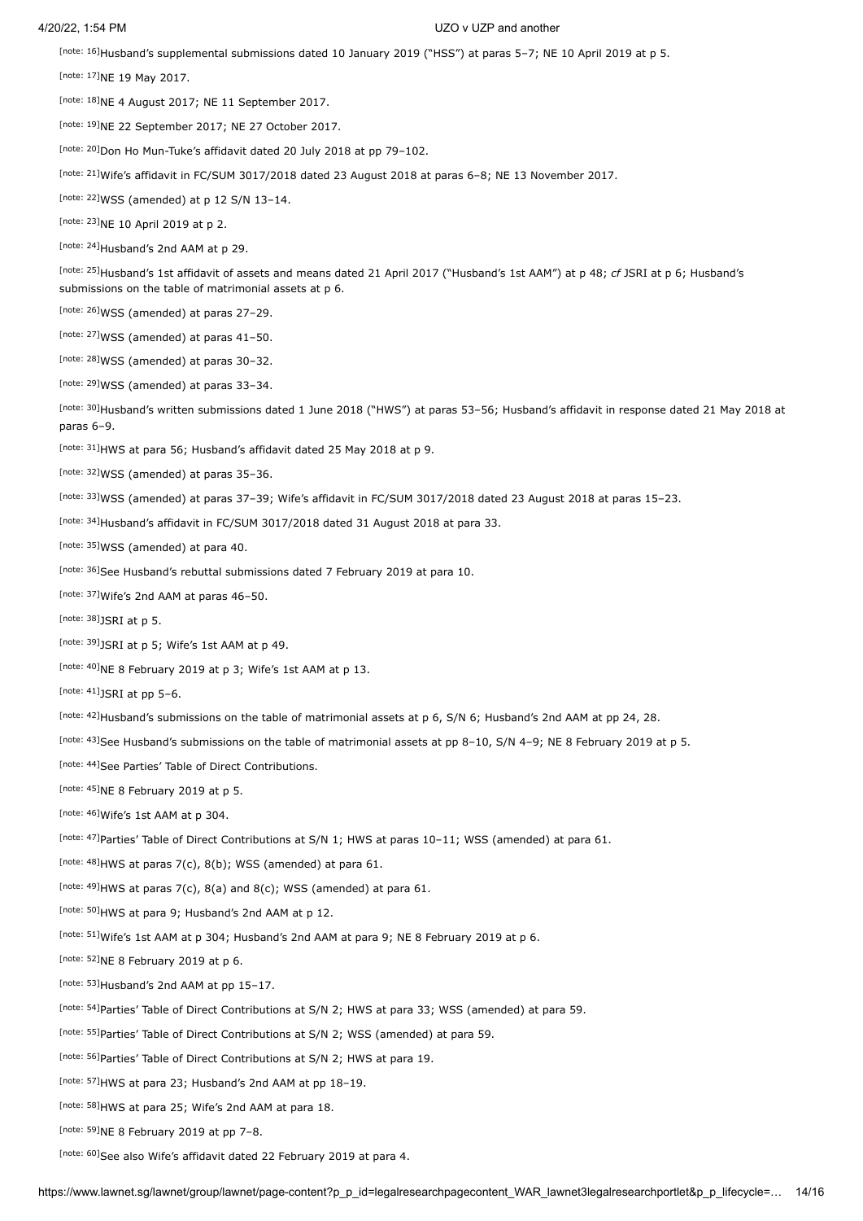<span id="page-13-0"></span><sup>[\[note: 16\]](#page-2-2)</sup>Husband's supplemental submissions dated 10 January 2019 ("HSS") at paras 5-7; NE 10 April 2019 at p 5.

<span id="page-13-1"></span>[\[note: 17\]](#page-2-3) NE 19 May 2017.

<span id="page-13-2"></span> $[$ note: 18]NE 4 August 2017; NE 11 September 2017.

<span id="page-13-3"></span> $[$ note: 19] $NE$  22 September 2017; NE 27 October 2017.

<span id="page-13-4"></span>[\[note: 20\]](#page-2-6)Don Ho Mun-Tuke's affidavit dated 20 July 2018 at pp 79-102.

<span id="page-13-5"></span>[\[note: 21\]](#page-2-7)Wife's affidavit in FC/SUM 3017/2018 dated 23 August 2018 at paras 6-8; NE 13 November 2017.

<span id="page-13-6"></span>[note:  $22$ ]WSS (amended) at p 12 S/N 13-14.

<span id="page-13-7"></span>[\[note: 23\]](#page-3-1) NE 10 April 2019 at p 2.

<span id="page-13-8"></span>[\[note: 24\]](#page-3-2) Husband's 2nd AAM at p 29.

<span id="page-13-9"></span><sup>[\[note: 25\]](#page-3-3)</sup>Husband's 1st affidavit of assets and means dated 21 April 2017 ("Husband's 1st AAM") at p 48; *cf* JSRI at p 6; Husband's submissions on the table of matrimonial assets at p 6.

<span id="page-13-10"></span>[note:  $26$ ]WSS (amended) at paras 27-29.

<span id="page-13-11"></span>[note:  $27$ ]WSS (amended) at paras  $41-50$ .

<span id="page-13-12"></span> $[{\text{note}}: 28]$ WSS (amended) at paras 30-32.

<span id="page-13-13"></span>[\[note: 29\]](#page-3-7) WSS (amended) at paras 33-34.

<span id="page-13-14"></span>[\[note: 30\]](#page-3-8)Husband's written submissions dated 1 June 2018 ("HWS") at paras 53–56; Husband's affidavit in response dated 21 May 2018 at paras 6–9.

<span id="page-13-15"></span>[\[note: 31\]](#page-3-9)HWS at para 56; Husband's affidavit dated 25 May 2018 at p 9.

<span id="page-13-16"></span>[note:  $32$ ]WSS (amended) at paras  $35-36$ .

<span id="page-13-17"></span>Inote: 33]WSS (amended) at paras 37–39; Wife's affidavit in FC/SUM 3017/2018 dated 23 August 2018 at paras 15–23.

<span id="page-13-18"></span> $[$ <sup>note: 34]</sup>Husband's affidavit in FC/SUM 3017/2018 dated 31 August 2018 at para 33.

<span id="page-13-19"></span>[\[note: 35\]](#page-3-13)WSS (amended) at para 40.

<span id="page-13-20"></span>[\[note: 36\]](#page-3-14)See Husband's rebuttal submissions dated 7 February 2019 at para 10.

<span id="page-13-21"></span>[\[note: 37\]](#page-3-15) Wife's 2nd AAM at paras 46-50.

<span id="page-13-22"></span>[note:  $38$ ]JSRI at p 5.

<span id="page-13-23"></span>[note:  $39$ ]JSRI at p 5; Wife's 1st AAM at p 49.

<span id="page-13-24"></span>[note:  $40$ ]NE 8 February 2019 at p 3; Wife's 1st AAM at p 13.

<span id="page-13-25"></span>[note:  $41$ ]JSRI at pp 5-6.

<span id="page-13-26"></span>[\[note: 42\]](#page-4-4)Husband's submissions on the table of matrimonial assets at p 6, S/N 6; Husband's 2nd AAM at pp 24, 28.

<span id="page-13-27"></span>[\[note: 43\]](#page-4-5)See Husband's submissions on the table of matrimonial assets at pp 8-10, S/N 4-9; NE 8 February 2019 at p 5.

<span id="page-13-28"></span>[\[note: 44\]](#page-5-0) See Parties' Table of Direct Contributions.

<span id="page-13-29"></span>[note:  $45$ ]NE 8 February 2019 at p 5.

<span id="page-13-30"></span>[note:  $46$ ]Wife's 1st AAM at p 304.

<span id="page-13-31"></span>[\[note: 47\]](#page-5-3) Parties' Table of Direct Contributions at S/N 1; HWS at paras  $10-11$ ; WSS (amended) at para 61.

<span id="page-13-32"></span>[\[note: 48\]](#page-5-4) HWS at paras  $7(c)$ ,  $8(b)$ ; WSS (amended) at para 61.

<span id="page-13-33"></span>[\[note: 49\]](#page-5-5) HWS at paras  $7(c)$ ,  $8(a)$  and  $8(c)$ ; WSS (amended) at para 61.

<span id="page-13-34"></span>[\[note: 50\]](#page-5-6) HWS at para 9; Husband's 2nd AAM at p 12.

<span id="page-13-35"></span>[\[note: 51\]](#page-5-7)Wife's 1st AAM at p 304; Husband's 2nd AAM at para 9; NE 8 February 2019 at p 6.

<span id="page-13-36"></span>[note:  $52$ ]NE 8 February 2019 at p 6.

<span id="page-13-37"></span>[\[note: 53\]](#page-6-0) Husband's 2nd AAM at pp 15-17.

<span id="page-13-38"></span>Inote: 54]Parties' Table of Direct Contributions at S/N 2; HWS at para 33; WSS (amended) at para 59.

<span id="page-13-39"></span>[\[note: 55\]](#page-6-2)Parties' Table of Direct Contributions at S/N 2; WSS (amended) at para 59.

<span id="page-13-40"></span>[\[note: 56\]](#page-6-3) Parties' Table of Direct Contributions at S/N 2; HWS at para 19.

<span id="page-13-41"></span>[note:  $57$ ]HWS at para 23; Husband's 2nd AAM at pp 18-19.

<span id="page-13-42"></span>[\[note: 58\]](#page-6-5)HWS at para 25; Wife's 2nd AAM at para 18.

<span id="page-13-43"></span>[note:  $59$ ]NE 8 February 2019 at pp 7-8.

<span id="page-13-44"></span>[\[note: 60\]](#page-6-7) See also Wife's affidavit dated 22 February 2019 at para 4.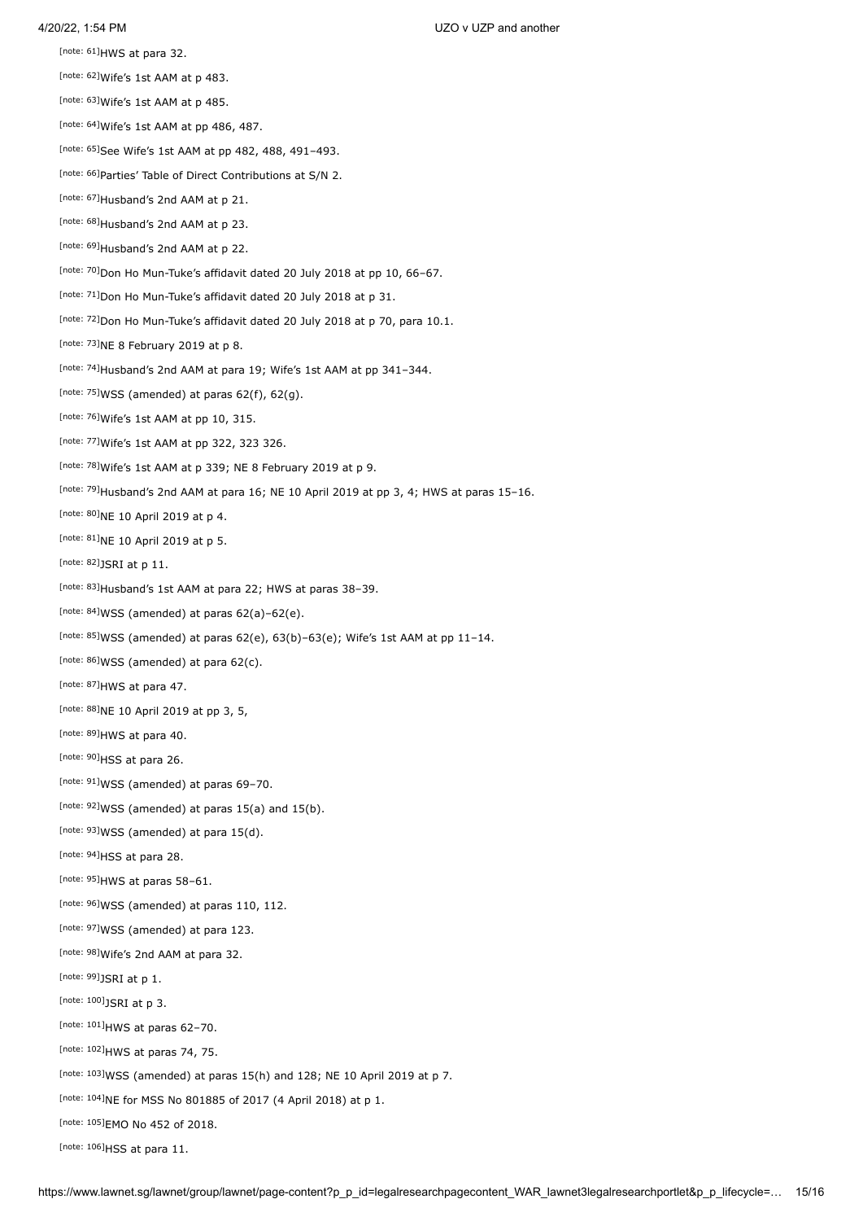<span id="page-14-3"></span>[note:  $61$ ]HWS at para 32.

<span id="page-14-4"></span>[note:  $62$ ]Wife's 1st AAM at p 483.

<span id="page-14-5"></span>[note:  $63$ ]Wife's 1st AAM at p 485.

<span id="page-14-6"></span> $[$ note: 64]Wife's 1st AAM at pp 486, 487.

<span id="page-14-7"></span>[\[note: 65\]](#page-7-4) See Wife's 1st AAM at pp 482, 488, 491-493.

<span id="page-14-8"></span>[\[note: 66\]](#page-7-5) Parties' Table of Direct Contributions at S/N 2.

<span id="page-14-0"></span>[\[note: 67\]](#page-7-6) Husband's 2nd AAM at p 21.

<span id="page-14-1"></span>[\[note: 68\]](#page-7-7) Husband's 2nd AAM at p 23.

<span id="page-14-2"></span>[\[note: 69\]](#page-7-8) Husband's 2nd AAM at p 22.

<span id="page-14-9"></span>[\[note: 70\]](#page-7-9) Don Ho Mun-Tuke's affidavit dated 20 July 2018 at pp 10, 66-67.

<span id="page-14-10"></span>[\[note: 71\]](#page-7-10) Don Ho Mun-Tuke's affidavit dated 20 July 2018 at p 31.

<span id="page-14-11"></span>[\[note: 72\]](#page-7-11)Don Ho Mun-Tuke's affidavit dated 20 July 2018 at p 70, para 10.1.

<span id="page-14-12"></span>[note:  $73$ ]NE 8 February 2019 at p 8.

<span id="page-14-13"></span>[\[note: 74\]](#page-7-13)Husband's 2nd AAM at para 19; Wife's 1st AAM at pp 341-344.

<span id="page-14-14"></span>[note:  $75$ ]WSS (amended) at paras  $62(f)$ ,  $62(g)$ .

<span id="page-14-15"></span>[note:  $76$ ]Wife's 1st AAM at pp 10, 315.

<span id="page-14-16"></span>[\[note: 77\]](#page-7-16) Wife's 1st AAM at pp 322, 323 326.

<span id="page-14-17"></span>[note:  $78$ ]Wife's 1st AAM at p 339; NE 8 February 2019 at p 9.

<span id="page-14-18"></span>[\[note: 79\]](#page-7-18)Husband's 2nd AAM at para 16; NE 10 April 2019 at pp 3, 4; HWS at paras 15-16.

<span id="page-14-19"></span>[note:  $80$ ]NE 10 April 2019 at p 4.

<span id="page-14-20"></span>[note:  $81$ ]NE 10 April 2019 at p 5.

<span id="page-14-21"></span>[note:  $82$ ]JSRI at p 11.

<span id="page-14-22"></span>[\[note: 83\]](#page-9-1)Husband's 1st AAM at para 22; HWS at paras 38-39.

<span id="page-14-23"></span>[note:  $84$ ]WSS (amended) at paras  $62(a)$ -62(e).

<span id="page-14-24"></span>[\[note: 85\]](#page-9-3) WSS (amended) at paras  $62(e)$ ,  $63(b)-63(e)$ ; Wife's 1st AAM at pp  $11-14$ .

<span id="page-14-25"></span>[note:  $86$ ]WSS (amended) at para  $62(c)$ .

<span id="page-14-26"></span>[note:  $87$ ]HWS at para 47.

<span id="page-14-27"></span>[\[note: 88\]](#page-9-6) NE 10 April 2019 at pp 3, 5,

<span id="page-14-28"></span>[note:  $89$ ]HWS at para 40.

<span id="page-14-29"></span>[\[note: 90\]](#page-10-0)HSS at para 26.

<span id="page-14-30"></span> $[$ note: 91] WSS (amended) at paras 69–70.

<span id="page-14-31"></span>[note:  $92$ ]WSS (amended) at paras 15(a) and 15(b).

<span id="page-14-32"></span>[note:  $93$ ]WSS (amended) at para 15(d).

<span id="page-14-33"></span>[\[note: 94\]](#page-10-4)HSS at para 28.

<span id="page-14-34"></span>[note:  $95$ ]HWS at paras 58-61.

<span id="page-14-35"></span>[note:  $96$ ]WSS (amended) at paras 110, 112.

<span id="page-14-36"></span>[\[note: 97\]](#page-10-7) WSS (amended) at para 123.

<span id="page-14-37"></span>[\[note: 98\]](#page-11-0) Wife's 2nd AAM at para 32.

<span id="page-14-38"></span>[note:  $99$ ]JSRI at p 1.

<span id="page-14-39"></span>[note:  $100$ ]JSRI at p 3.

<span id="page-14-40"></span>[note:  $101$ ]HWS at paras 62-70.

<span id="page-14-41"></span>[\[note: 102\]](#page-11-4) HWS at paras 74, 75.

<span id="page-14-42"></span>[\[note: 103\]](#page-11-5) WSS (amended) at paras  $15(h)$  and  $128$ ; NE 10 April 2019 at p 7.

<span id="page-14-43"></span>[note:  $104$ ]NE for MSS No 801885 of 2017 (4 April 2018) at p 1.

<span id="page-14-44"></span>[\[note: 105\]](#page-12-16) EMO No 452 of 2018.

<span id="page-14-45"></span>[note:  $106$ ]HSS at para 11.